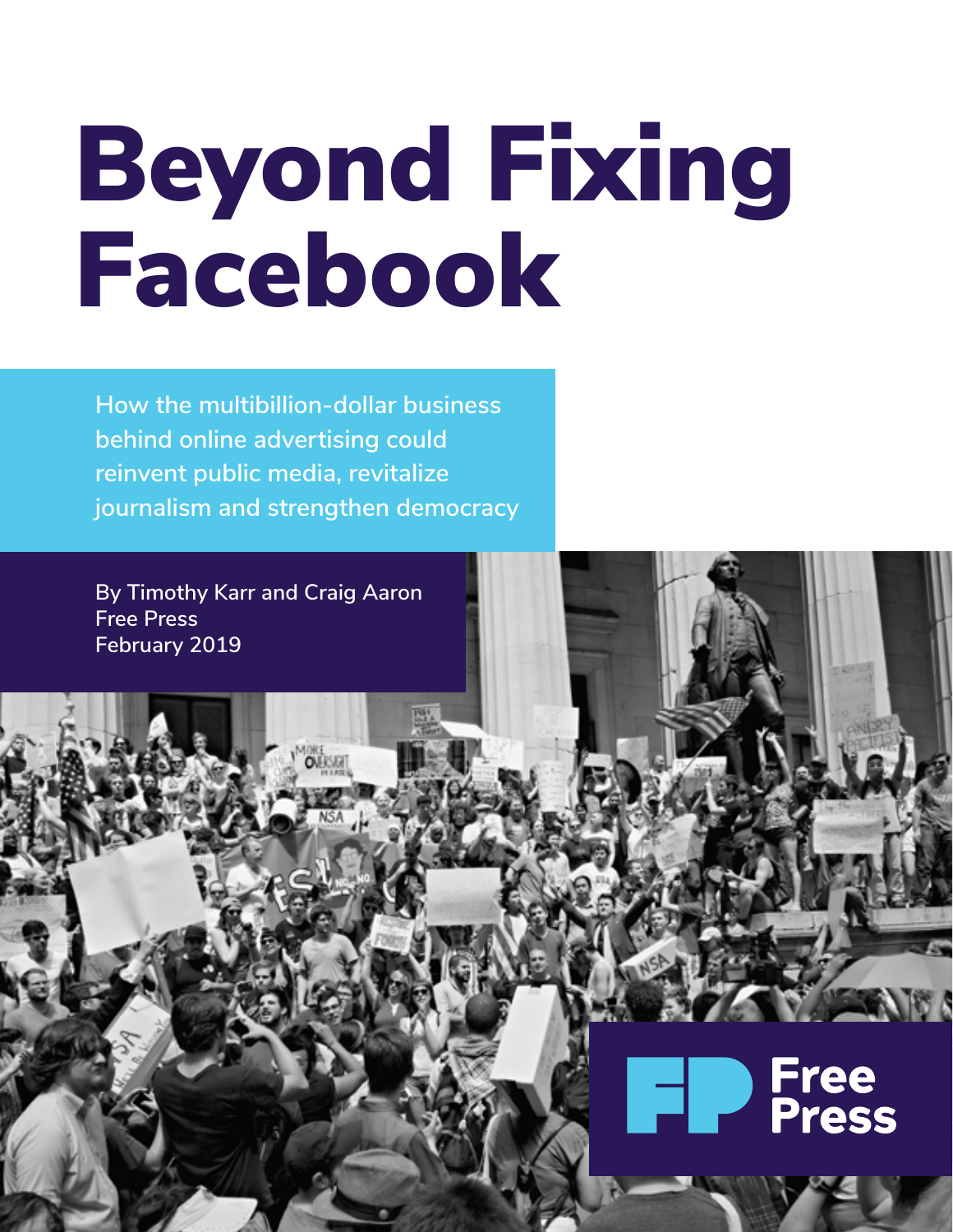# Beyond Fixing Facebook

**How the multibillion-dollar business behind online advertising could reinvent public media, revitalize journalism and strengthen democracy**

**OURSET** 

**By Timothy Karr and Craig Aaron Free Press February 2019**

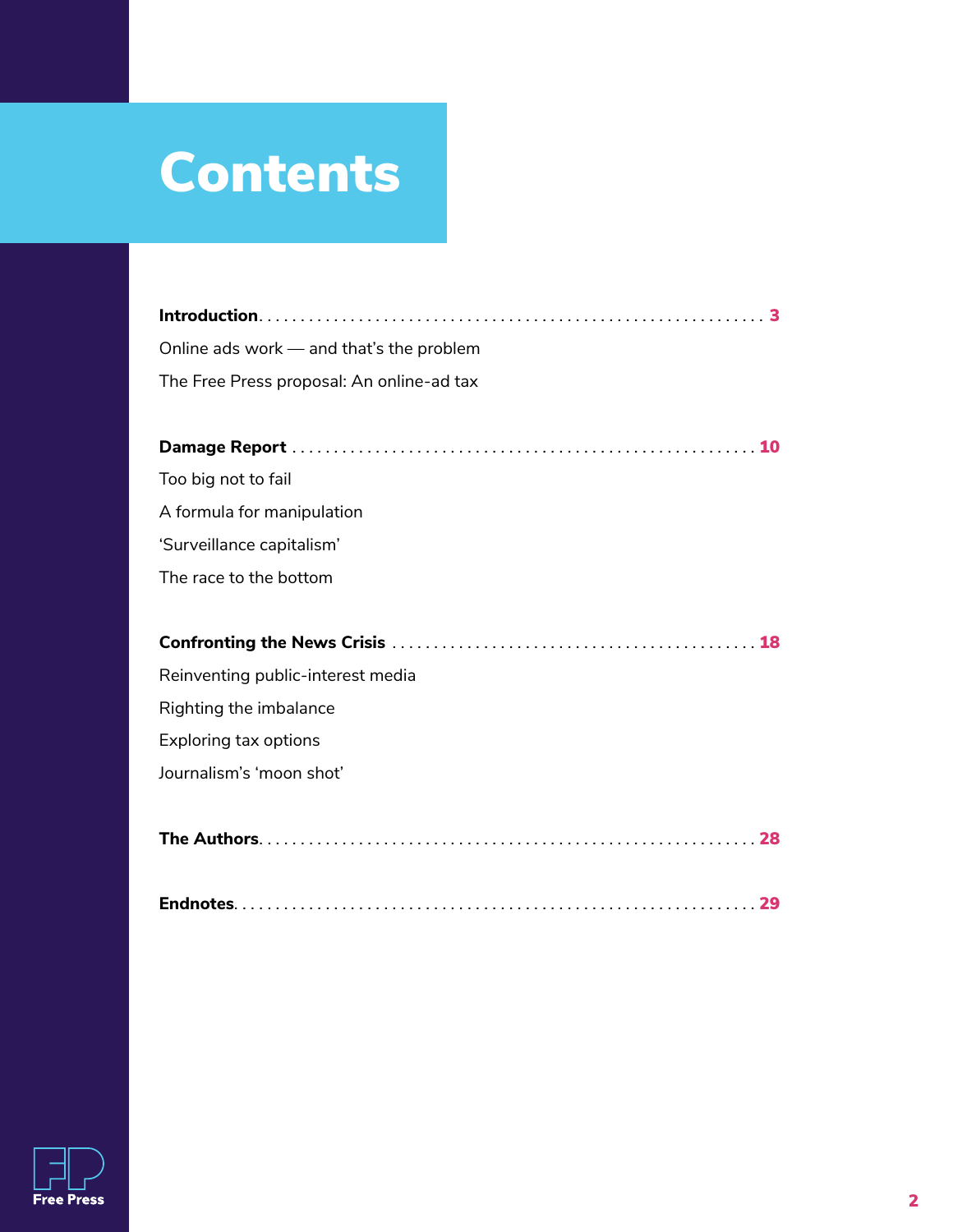### **Contents**

| Online ads work - and that's the problem  |
|-------------------------------------------|
| The Free Press proposal: An online-ad tax |
|                                           |
|                                           |
| Too big not to fail                       |
| A formula for manipulation                |
| 'Surveillance capitalism'                 |
| The race to the bottom                    |
|                                           |
|                                           |
| Reinventing public-interest media         |
| Righting the imbalance                    |
| Exploring tax options                     |
| Journalism's 'moon shot'                  |
|                                           |
|                                           |
|                                           |
|                                           |

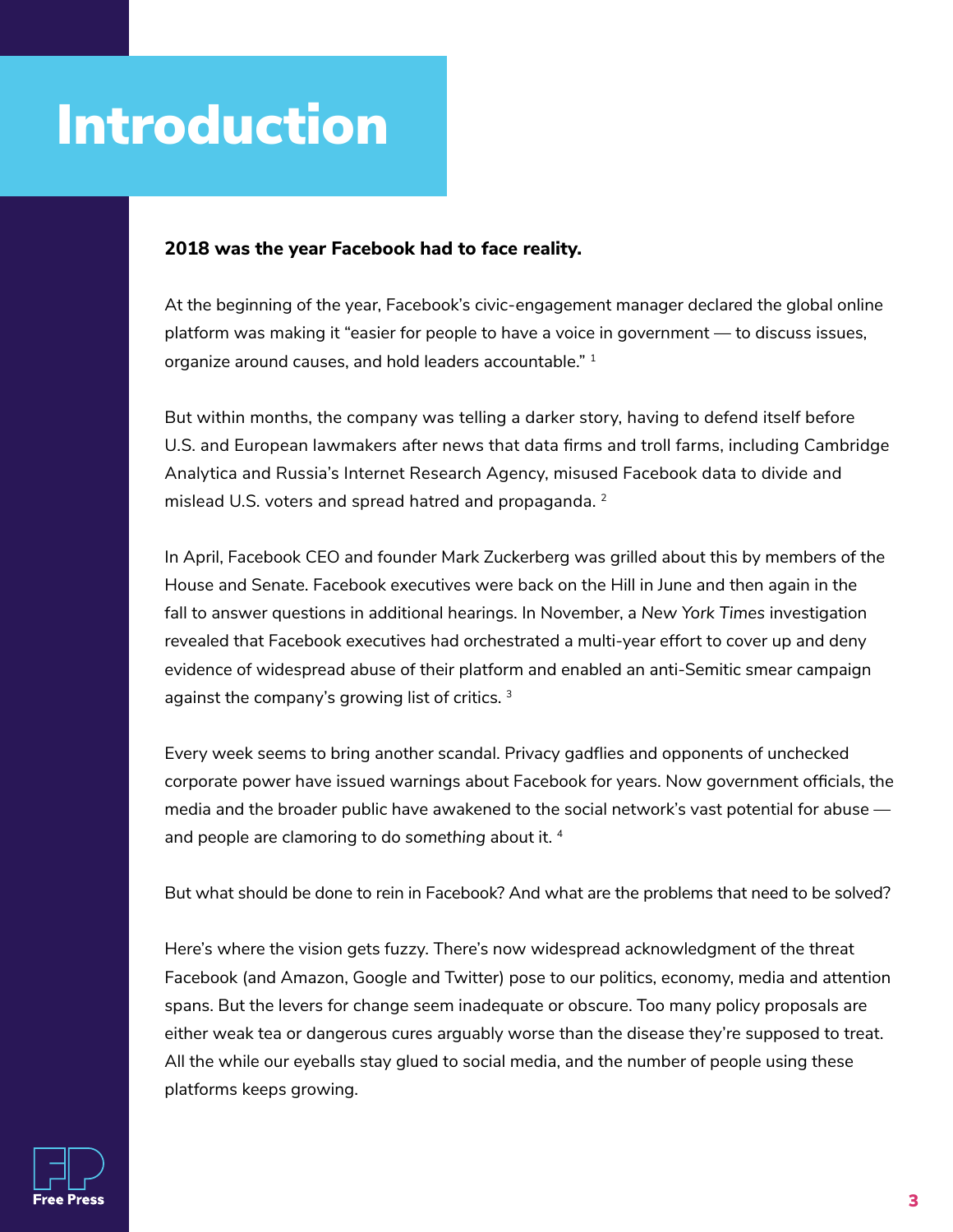### **Introduction**

#### **2018 was the year Facebook had to face reality.**

At the beginning of the year, Facebook's civic-engagement manager declared the global online platform was making it "easier for people to have a voice in government — to discuss issues, organize around causes, and hold leaders accountable." 1

But within months, the company was telling a darker story, having to defend itself before U.S. and European lawmakers after news that data firms and troll farms, including Cambridge Analytica and Russia's Internet Research Agency, misused Facebook data to divide and mislead U.S. voters and spread hatred and propaganda. <sup>2</sup>

In April, Facebook CEO and founder Mark Zuckerberg was grilled about this by members of the House and Senate. Facebook executives were back on the Hill in June and then again in the fall to answer questions in additional hearings. In November, a *New York Times* investigation revealed that Facebook executives had orchestrated a multi-year effort to cover up and deny evidence of widespread abuse of their platform and enabled an anti-Semitic smear campaign against the company's growing list of critics.<sup>3</sup>

Every week seems to bring another scandal. Privacy gadflies and opponents of unchecked corporate power have issued warnings about Facebook for years. Now government officials, the media and the broader public have awakened to the social network's vast potential for abuse and people are clamoring to do *something* about it. <sup>4</sup>

But what should be done to rein in Facebook? And what are the problems that need to be solved?

Here's where the vision gets fuzzy. There's now widespread acknowledgment of the threat Facebook (and Amazon, Google and Twitter) pose to our politics, economy, media and attention spans. But the levers for change seem inadequate or obscure. Too many policy proposals are either weak tea or dangerous cures arguably worse than the disease they're supposed to treat. All the while our eyeballs stay glued to social media, and the number of people using these platforms keeps growing.

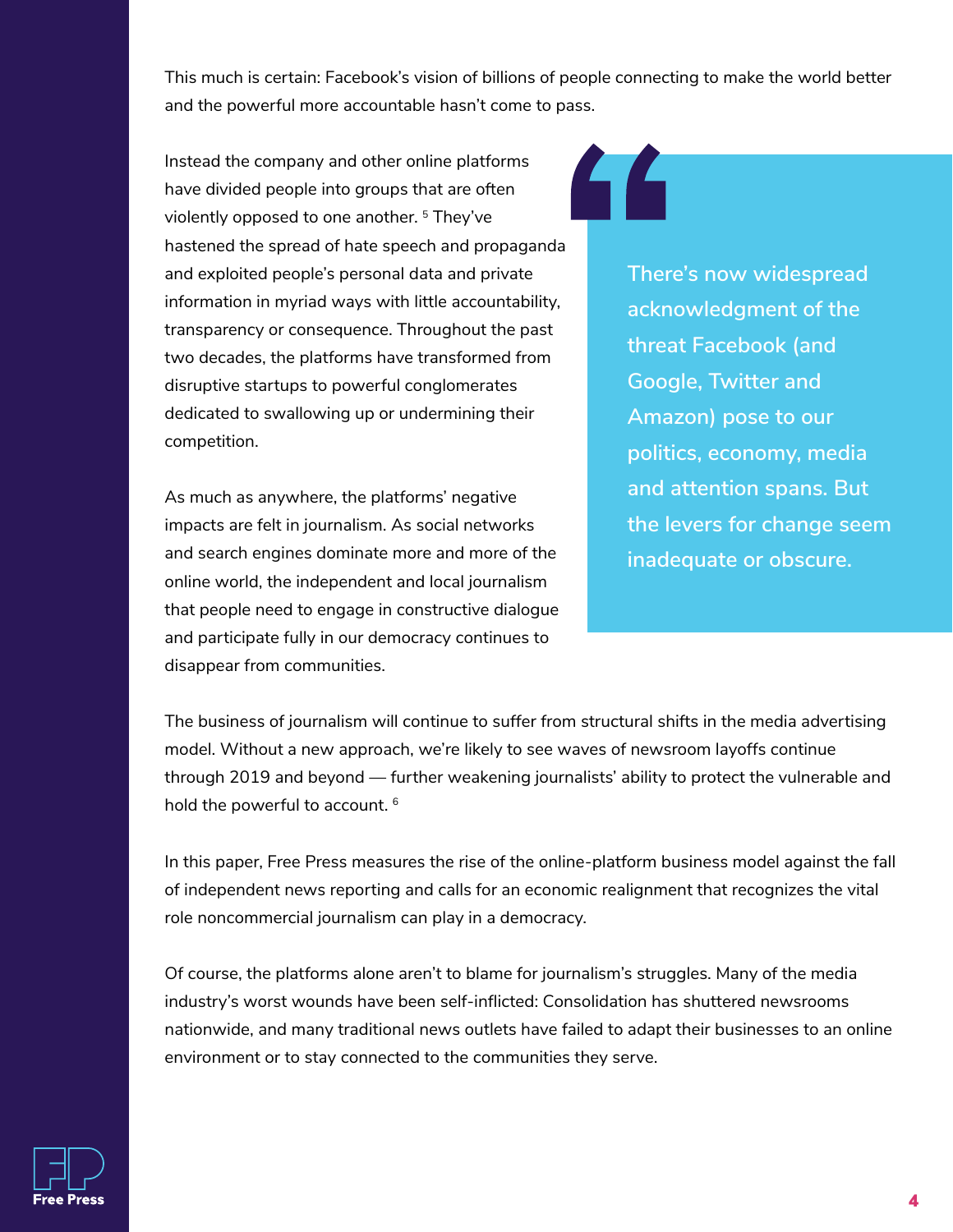This much is certain: Facebook's vision of billions of people connecting to make the world better and the powerful more accountable hasn't come to pass.

Instead the company and other online platforms have divided people into groups that are often violently opposed to one another.<sup>5</sup> They've hastened the spread of hate speech and propaganda and exploited people's personal data and private information in myriad ways with little accountability, transparency or consequence. Throughout the past two decades, the platforms have transformed from disruptive startups to powerful conglomerates dedicated to swallowing up or undermining their competition.

As much as anywhere, the platforms' negative impacts are felt in journalism. As social networks and search engines dominate more and more of the online world, the independent and local journalism that people need to engage in constructive dialogue and participate fully in our democracy continues to disappear from communities.

## 44

**There's now widespread acknowledgment of the threat Facebook (and Google, Twitter and Amazon) pose to our politics, economy, media and attention spans. But the levers for change seem inadequate or obscure.**

The business of journalism will continue to suffer from structural shifts in the media advertising model. Without a new approach, we're likely to see waves of newsroom layoffs continue through 2019 and beyond — further weakening journalists' ability to protect the vulnerable and hold the powerful to account. <sup>6</sup>

In this paper, Free Press measures the rise of the online-platform business model against the fall of independent news reporting and calls for an economic realignment that recognizes the vital role noncommercial journalism can play in a democracy.

Of course, the platforms alone aren't to blame for journalism's struggles. Many of the media industry's worst wounds have been self-inflicted: Consolidation has shuttered newsrooms nationwide, and many traditional news outlets have failed to adapt their businesses to an online environment or to stay connected to the communities they serve.

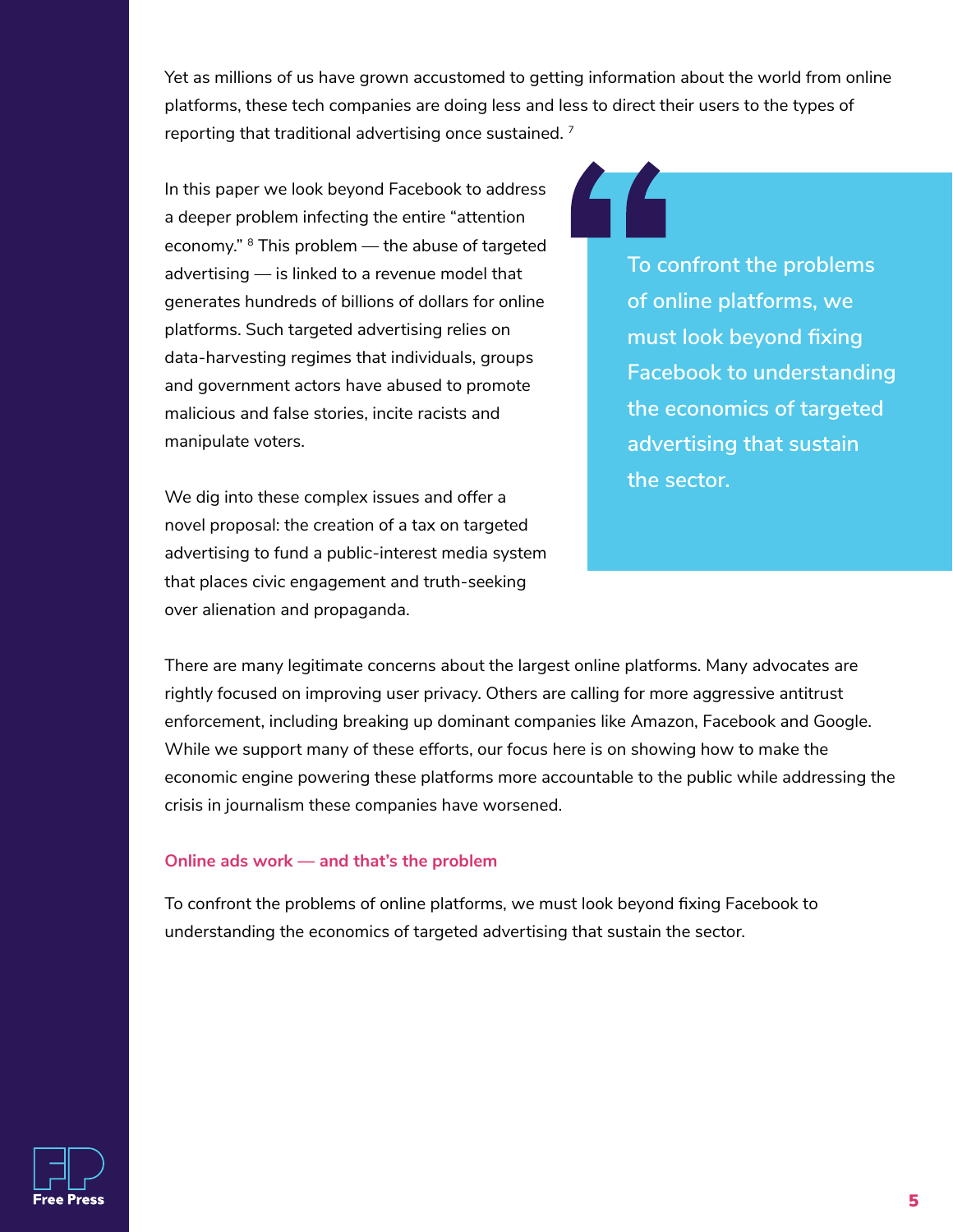Yet as millions of us have grown accustomed to getting information about the world from online platforms, these tech companies are doing less and less to direct their users to the types of reporting that traditional advertising once sustained.<sup>7</sup>

In this paper we look beyond Facebook to address a deeper problem infecting the entire "attention economy." <sup>8</sup> This problem — the abuse of targeted advertising — is linked to a revenue model that generates hundreds of billions of dollars for online platforms. Such targeted advertising relies on data-harvesting regimes that individuals, groups and government actors have abused to promote malicious and false stories, incite racists and manipulate voters.

We dig into these complex issues and offer a novel proposal: the creation of a tax on targeted advertising to fund a public-interest media system that places civic engagement and truth-seeking over alienation and propaganda.

**To confront the problems of online platforms, we must look beyond fixing Facebook to understanding the economics of targeted advertising that sustain the sector.**

There are many legitimate concerns about the largest online platforms. Many advocates are rightly focused on improving user privacy. Others are calling for more aggressive antitrust enforcement, including breaking up dominant companies like Amazon, Facebook and Google. While we support many of these efforts, our focus here is on showing how to make the economic engine powering these platforms more accountable to the public while addressing the crisis in journalism these companies have worsened.

#### **Online ads work — and that's the problem**

To confront the problems of online platforms, we must look beyond fixing Facebook to understanding the economics of targeted advertising that sustain the sector.

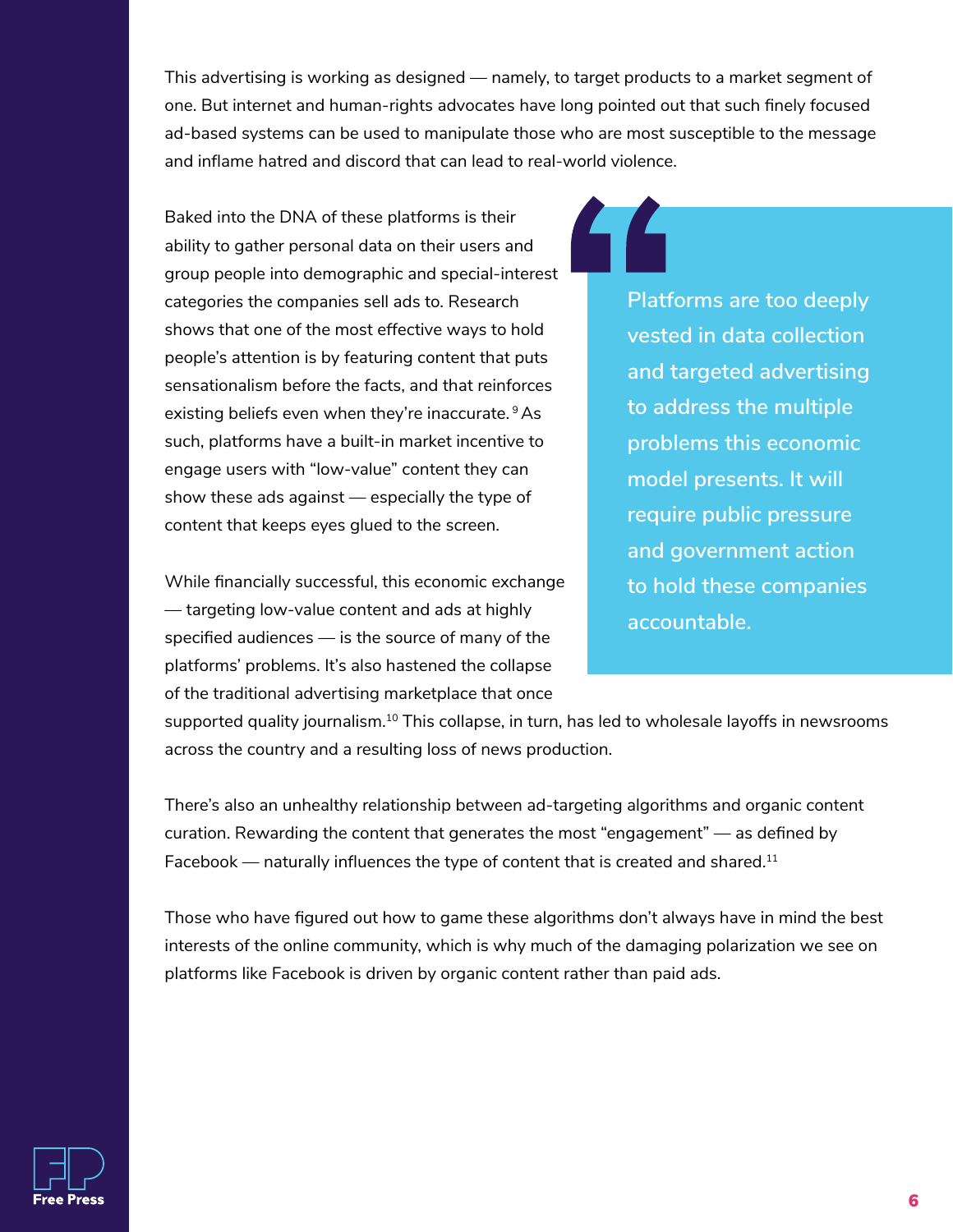This advertising is working as designed — namely, to target products to a market segment of one. But internet and human-rights advocates have long pointed out that such finely focused ad-based systems can be used to manipulate those who are most susceptible to the message and inflame hatred and discord that can lead to real-world violence.

Baked into the DNA of these platforms is their ability to gather personal data on their users and group people into demographic and special-interest categories the companies sell ads to. Research shows that one of the most effective ways to hold people's attention is by featuring content that puts sensationalism before the facts, and that reinforces existing beliefs even when they're inaccurate. <sup>9</sup> As such, platforms have a built-in market incentive to engage users with "low-value" content they can show these ads against — especially the type of content that keeps eyes glued to the screen.

While financially successful, this economic exchange — targeting low-value content and ads at highly specified audiences — is the source of many of the platforms' problems. It's also hastened the collapse of the traditional advertising marketplace that once

**Platforms are too deeply vested in data collection and targeted advertising to address the multiple problems this economic model presents. It will require public pressure and government action to hold these companies accountable.**

supported quality journalism.<sup>10</sup> This collapse, in turn, has led to wholesale layoffs in newsrooms across the country and a resulting loss of news production.

There's also an unhealthy relationship between ad-targeting algorithms and organic content curation. Rewarding the content that generates the most "engagement" — as defined by Facebook  $-$  naturally influences the type of content that is created and shared.<sup>11</sup>

Those who have figured out how to game these algorithms don't always have in mind the best interests of the online community, which is why much of the damaging polarization we see on platforms like Facebook is driven by organic content rather than paid ads.

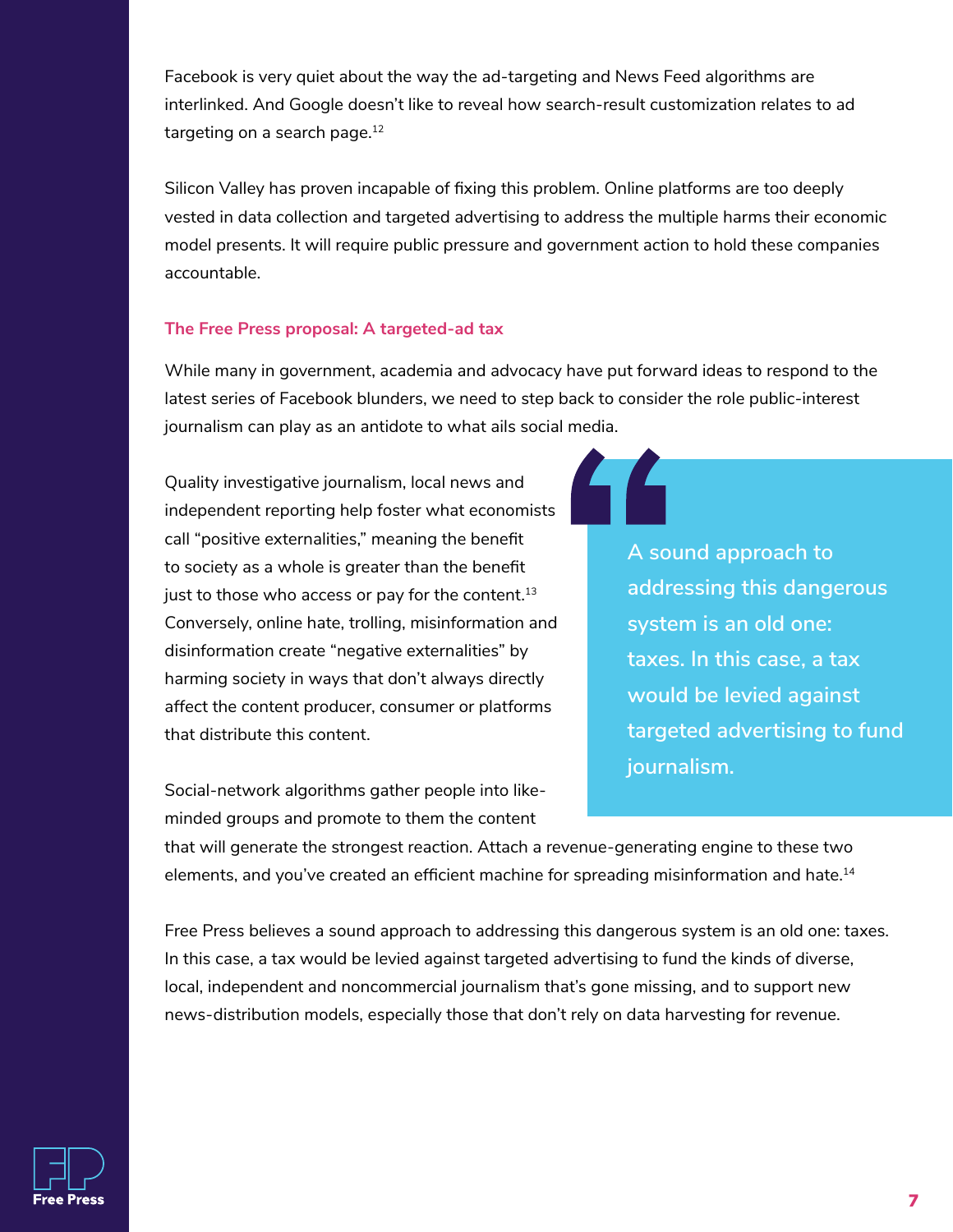Facebook is very quiet about the way the ad-targeting and News Feed algorithms are interlinked. And Google doesn't like to reveal how search-result customization relates to ad targeting on a search page.<sup>12</sup>

Silicon Valley has proven incapable of fixing this problem. Online platforms are too deeply vested in data collection and targeted advertising to address the multiple harms their economic model presents. It will require public pressure and government action to hold these companies accountable.

#### **The Free Press proposal: A targeted-ad tax**

While many in government, academia and advocacy have put forward ideas to respond to the latest series of Facebook blunders, we need to step back to consider the role public-interest journalism can play as an antidote to what ails social media.

Quality investigative journalism, local news and independent reporting help foster what economists call "positive externalities," meaning the benefit to society as a whole is greater than the benefit just to those who access or pay for the content. $^{\rm 13}$ Conversely, online hate, trolling, misinformation and disinformation create "negative externalities" by harming society in ways that don't always directly affect the content producer, consumer or platforms that distribute this content.

Social-network algorithms gather people into likeminded groups and promote to them the content

**A sound approach to addressing this dangerous system is an old one: taxes. In this case, a tax would be levied against targeted advertising to fund journalism.**

that will generate the strongest reaction. Attach a revenue-generating engine to these two elements, and you've created an efficient machine for spreading misinformation and hate.<sup>14</sup>

Free Press believes a sound approach to addressing this dangerous system is an old one: taxes. In this case, a tax would be levied against targeted advertising to fund the kinds of diverse, local, independent and noncommercial journalism that's gone missing, and to support new news-distribution models, especially those that don't rely on data harvesting for revenue.

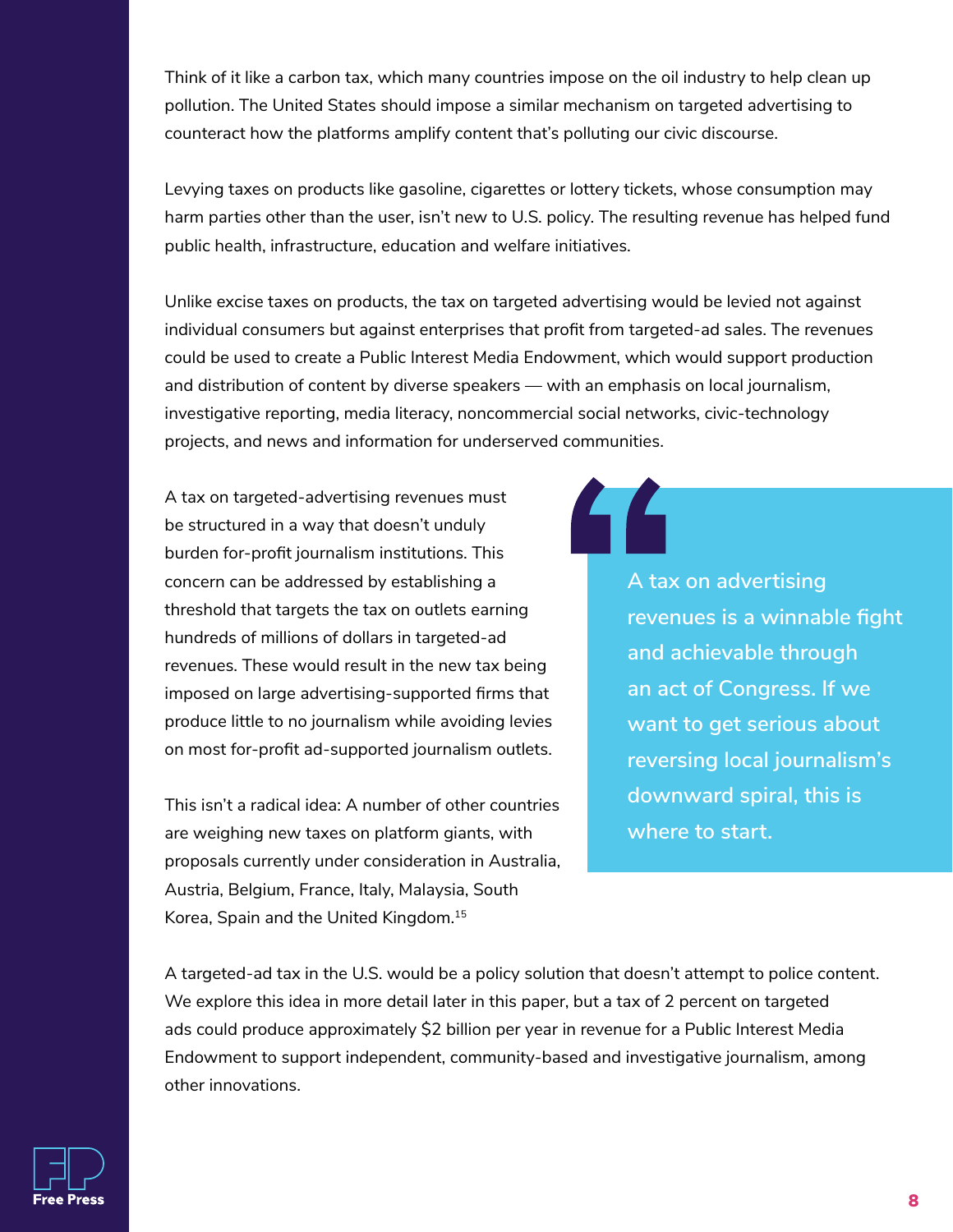Think of it like a carbon tax, which many countries impose on the oil industry to help clean up pollution. The United States should impose a similar mechanism on targeted advertising to counteract how the platforms amplify content that's polluting our civic discourse.

Levying taxes on products like gasoline, cigarettes or lottery tickets, whose consumption may harm parties other than the user, isn't new to U.S. policy. The resulting revenue has helped fund public health, infrastructure, education and welfare initiatives.

Unlike excise taxes on products, the tax on targeted advertising would be levied not against individual consumers but against enterprises that profit from targeted-ad sales. The revenues could be used to create a Public Interest Media Endowment, which would support production and distribution of content by diverse speakers — with an emphasis on local journalism, investigative reporting, media literacy, noncommercial social networks, civic-technology projects, and news and information for underserved communities.

A tax on targeted-advertising revenues must be structured in a way that doesn't unduly burden for-profit journalism institutions. This concern can be addressed by establishing a threshold that targets the tax on outlets earning hundreds of millions of dollars in targeted-ad revenues. These would result in the new tax being imposed on large advertising-supported firms that produce little to no journalism while avoiding levies on most for-profit ad-supported journalism outlets.

This isn't a radical idea: A number of other countries are weighing new taxes on platform giants, with proposals currently under consideration in Australia, Austria, Belgium, France, Italy, Malaysia, South Korea, Spain and the United Kingdom. 15

**A tax on advertising revenues is a winnable fight and achievable through an act of Congress. If we want to get serious about reversing local journalism's downward spiral, this is where to start.**

A targeted-ad tax in the U.S. would be a policy solution that doesn't attempt to police content. We explore this idea in more detail later in this paper, but a tax of 2 percent on targeted ads could produce approximately \$2 billion per year in revenue for a Public Interest Media Endowment to support independent, community-based and investigative journalism, among other innovations.

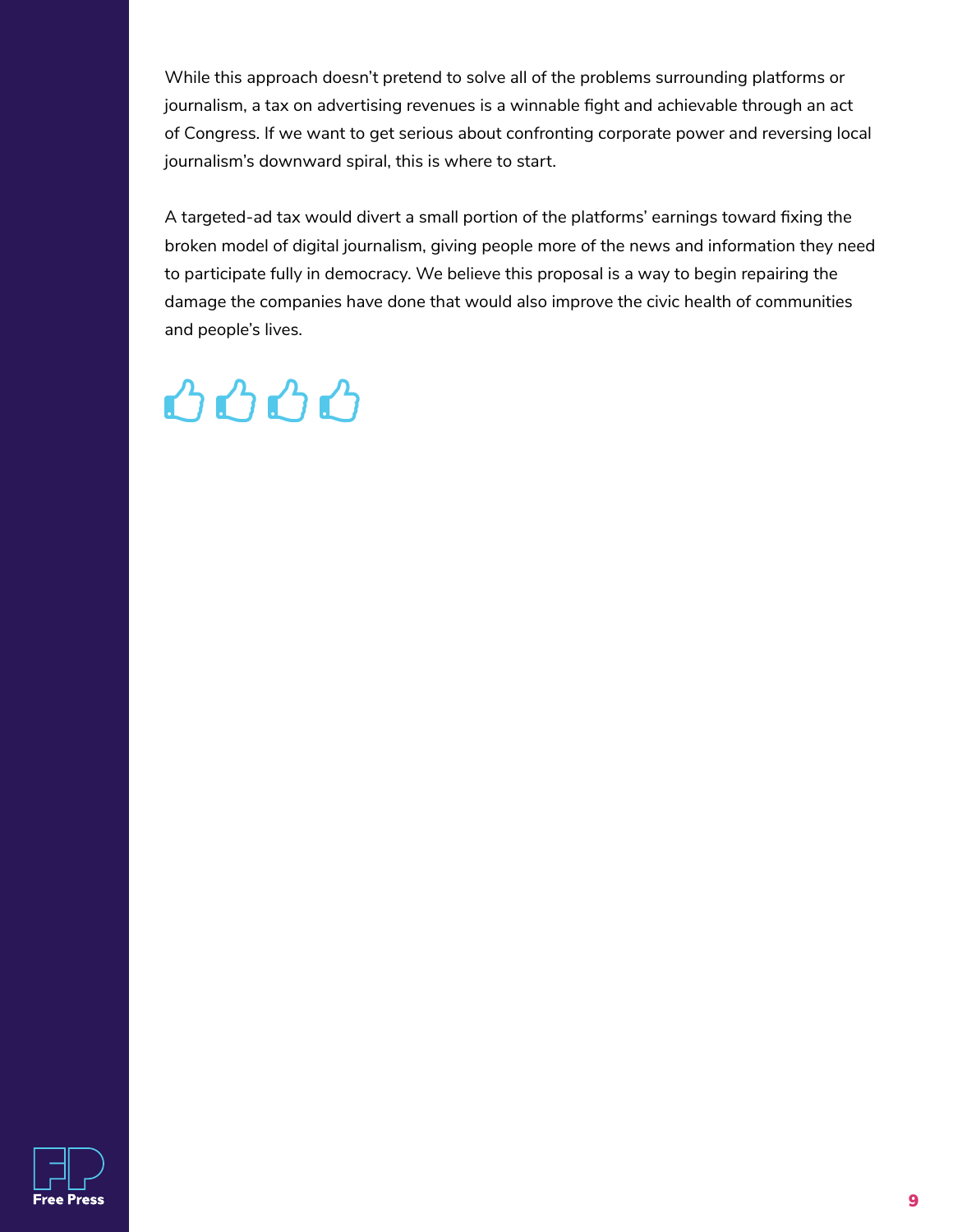While this approach doesn't pretend to solve all of the problems surrounding platforms or journalism, a tax on advertising revenues is a winnable fight and achievable through an act of Congress. If we want to get serious about confronting corporate power and reversing local journalism's downward spiral, this is where to start.

A targeted-ad tax would divert a small portion of the platforms' earnings toward fixing the broken model of digital journalism, giving people more of the news and information they need to participate fully in democracy. We believe this proposal is a way to begin repairing the damage the companies have done that would also improve the civic health of communities and people's lives.

### 0000

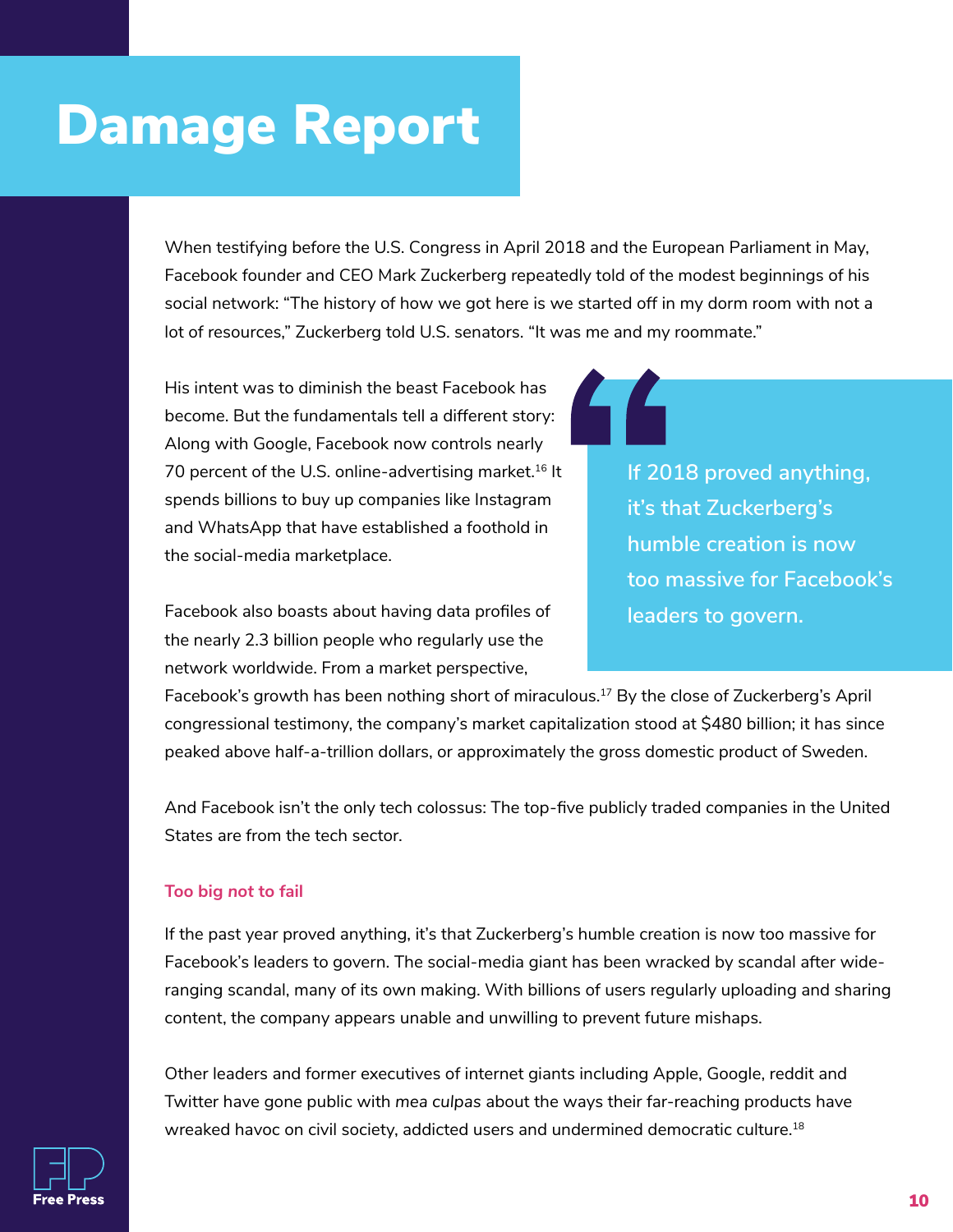### Damage Report

When testifying before the U.S. Congress in April 2018 and the European Parliament in May, Facebook founder and CEO Mark Zuckerberg repeatedly told of the modest beginnings of his social network: "The history of how we got here is we started off in my dorm room with not a lot of resources," Zuckerberg told U.S. senators. "It was me and my roommate."

His intent was to diminish the beast Facebook has become. But the fundamentals tell a different story: Along with Google, Facebook now controls nearly 70 percent of the U.S. online-advertising market.<sup>16</sup> It spends billions to buy up companies like Instagram and WhatsApp that have established a foothold in the social-media marketplace.

Facebook also boasts about having data profiles of the nearly 2.3 billion people who regularly use the network worldwide. From a market perspective,

**If 2018 proved anything, it's that Zuckerberg's humble creation is now too massive for Facebook's leaders to govern.**

Facebook's growth has been nothing short of miraculous. <sup>17</sup> By the close of Zuckerberg's April congressional testimony, the company's market capitalization stood at \$480 billion; it has since peaked above half-a-trillion dollars, or approximately the gross domestic product of Sweden.

And Facebook isn't the only tech colossus: The top-five publicly traded companies in the United States are from the tech sector.

#### **Too big** *not* **to fail**

If the past year proved anything, it's that Zuckerberg's humble creation is now too massive for Facebook's leaders to govern. The social-media giant has been wracked by scandal after wideranging scandal, many of its own making. With billions of users regularly uploading and sharing content, the company appears unable and unwilling to prevent future mishaps.

Other leaders and former executives of internet giants including Apple, Google, reddit and Twitter have gone public with *mea culpas* about the ways their far-reaching products have wreaked havoc on civil society, addicted users and undermined democratic culture. 18

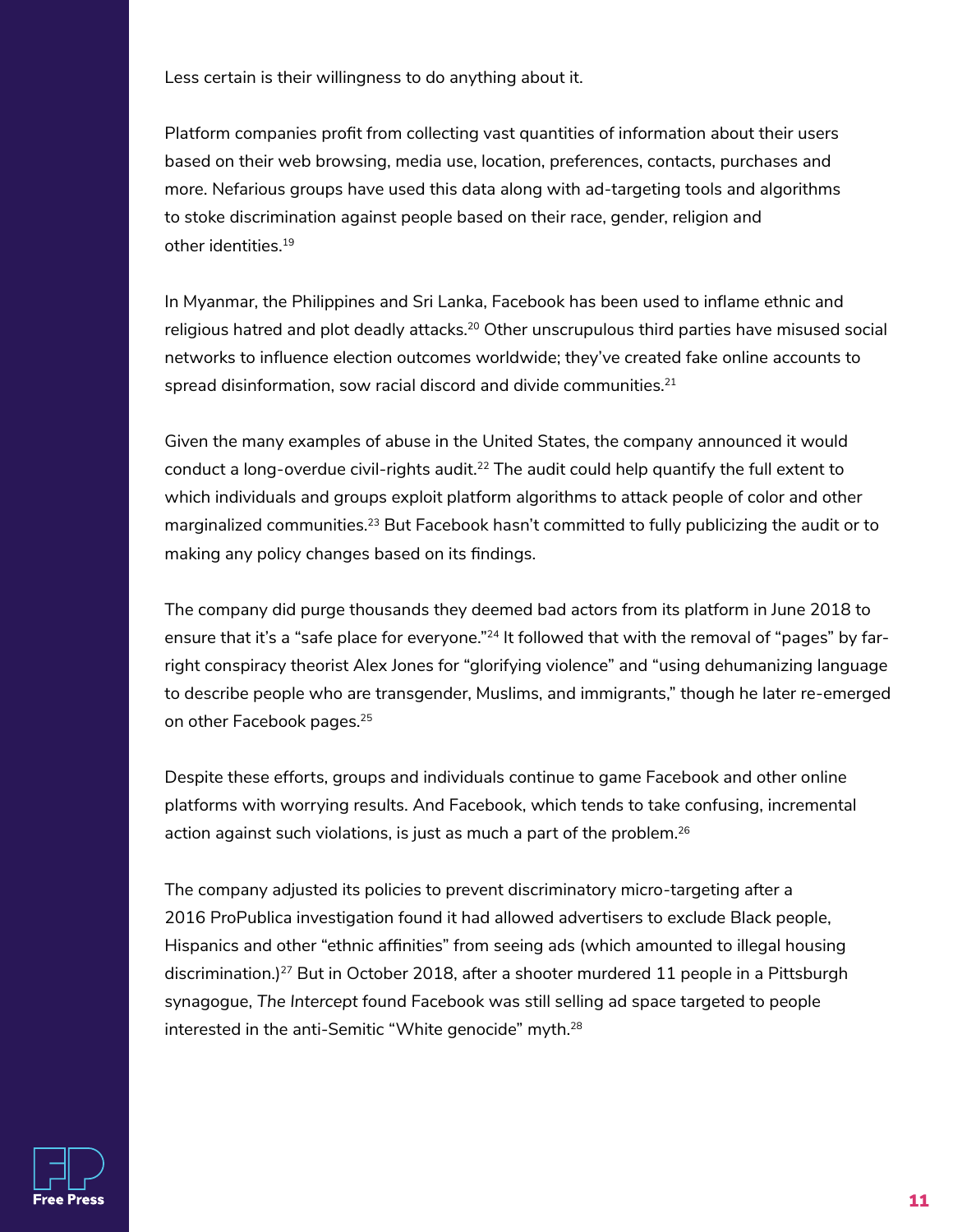Less certain is their willingness to do anything about it.

Platform companies profit from collecting vast quantities of information about their users based on their web browsing, media use, location, preferences, contacts, purchases and more. Nefarious groups have used this data along with ad-targeting tools and algorithms to stoke discrimination against people based on their race, gender, religion and other identities. 19

In Myanmar, the Philippines and Sri Lanka, Facebook has been used to inflame ethnic and religious hatred and plot deadly attacks. 20 Other unscrupulous third parties have misused social networks to influence election outcomes worldwide; they've created fake online accounts to spread disinformation, sow racial discord and divide communities. 21

Given the many examples of abuse in the United States, the company announced it would conduct a long-overdue civil-rights audit.<sup>22</sup> The audit could help quantify the full extent to which individuals and groups exploit platform algorithms to attack people of color and other marginalized communities.<sup>23</sup> But Facebook hasn't committed to fully publicizing the audit or to making any policy changes based on its findings.

The company did purge thousands they deemed bad actors from its platform in June 2018 to ensure that it's a "safe place for everyone."<sup>24</sup> It followed that with the removal of "pages" by farright conspiracy theorist Alex Jones for "glorifying violence" and "using dehumanizing language to describe people who are transgender, Muslims, and immigrants," though he later re-emerged on other Facebook pages. 25

Despite these efforts, groups and individuals continue to game Facebook and other online platforms with worrying results. And Facebook, which tends to take confusing, incremental action against such violations, is just as much a part of the problem. $^{26}$ 

The company adjusted its policies to prevent discriminatory micro-targeting after a 2016 ProPublica investigation found it had allowed advertisers to exclude Black people, Hispanics and other "ethnic affinities" from seeing ads (which amounted to illegal housing discrimination.) 27 But in October 2018, after a shooter murdered 11 people in a Pittsburgh synagogue, *The Intercept* found Facebook was still selling ad space targeted to people interested in the anti-Semitic "White genocide" myth. $^{\rm 28}$ 

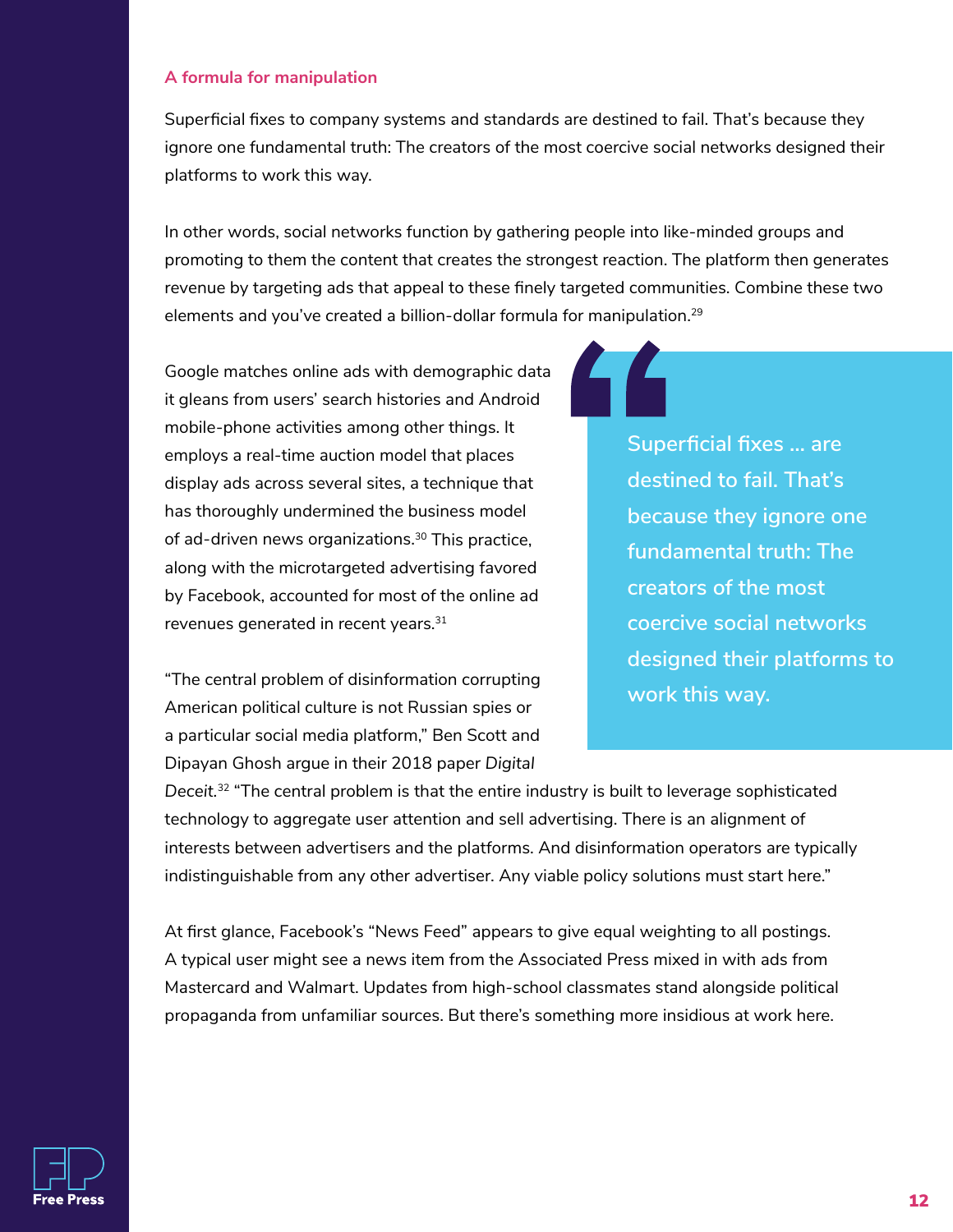#### **A formula for manipulation**

Superficial fixes to company systems and standards are destined to fail. That's because they ignore one fundamental truth: The creators of the most coercive social networks designed their platforms to work this way.

In other words, social networks function by gathering people into like-minded groups and promoting to them the content that creates the strongest reaction. The platform then generates revenue by targeting ads that appeal to these finely targeted communities. Combine these two elements and you've created a billion-dollar formula for manipulation.<sup>29</sup>

Google matches online ads with demographic data it gleans from users' search histories and Android mobile-phone activities among other things. It employs a real-time auction model that places display ads across several sites, a technique that has thoroughly undermined the business model of ad-driven news organizations. 30 This practice, along with the microtargeted advertising favored by Facebook, accounted for most of the online ad revenues generated in recent years.<sup>31</sup>

"The central problem of disinformation corrupting American political culture is not Russian spies or a particular social media platform," Ben Scott and Dipayan Ghosh argue in their 2018 paper *Digital* 

**Superficial fixes … are destined to fail. That's because they ignore one fundamental truth: The creators of the most coercive social networks designed their platforms to work this way.** 

*Deceit.*32 "The central problem is that the entire industry is built to leverage sophisticated technology to aggregate user attention and sell advertising. There is an alignment of interests between advertisers and the platforms. And disinformation operators are typically indistinguishable from any other advertiser. Any viable policy solutions must start here."

At first glance, Facebook's "News Feed" appears to give equal weighting to all postings. A typical user might see a news item from the Associated Press mixed in with ads from Mastercard and Walmart. Updates from high-school classmates stand alongside political propaganda from unfamiliar sources. But there's something more insidious at work here.

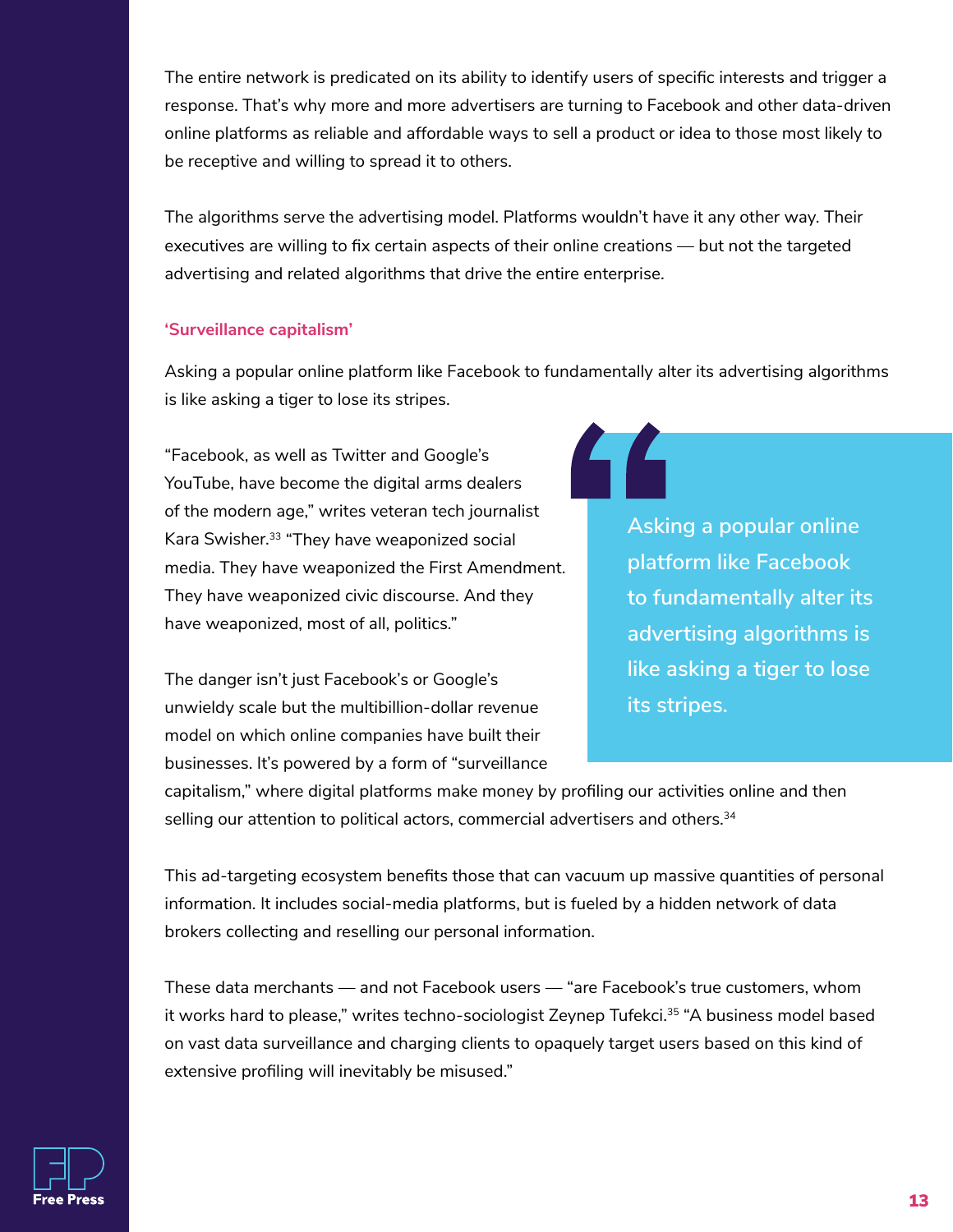The entire network is predicated on its ability to identify users of specific interests and trigger a response. That's why more and more advertisers are turning to Facebook and other data-driven online platforms as reliable and affordable ways to sell a product or idea to those most likely to be receptive and willing to spread it to others.

The algorithms serve the advertising model. Platforms wouldn't have it any other way. Their executives are willing to fix certain aspects of their online creations — but not the targeted advertising and related algorithms that drive the entire enterprise.

#### **'Surveillance capitalism'**

Asking a popular online platform like Facebook to fundamentally alter its advertising algorithms is like asking a tiger to lose its stripes.

"Facebook, as well as Twitter and Google's YouTube, have become the digital arms dealers of the modern age," writes veteran tech journalist Kara Swisher. 33 "They have weaponized social media. They have weaponized the First Amendment. They have weaponized civic discourse. And they have weaponized, most of all, politics."

The danger isn't just Facebook's or Google's unwieldy scale but the multibillion-dollar revenue model on which online companies have built their businesses. It's powered by a form of "surveillance **Asking a popular online platform like Facebook to fundamentally alter its advertising algorithms is like asking a tiger to lose its stripes.**

capitalism," where digital platforms make money by profiling our activities online and then selling our attention to political actors, commercial advertisers and others. $^{\rm 34}$ 

This ad-targeting ecosystem benefits those that can vacuum up massive quantities of personal information. It includes social-media platforms, but is fueled by a hidden network of data brokers collecting and reselling our personal information.

These data merchants — and not Facebook users — "are Facebook's true customers, whom it works hard to please," writes techno-sociologist Zeynep Tufekci.<sup>35</sup> "A business model based on vast data surveillance and charging clients to opaquely target users based on this kind of extensive profiling will inevitably be misused."

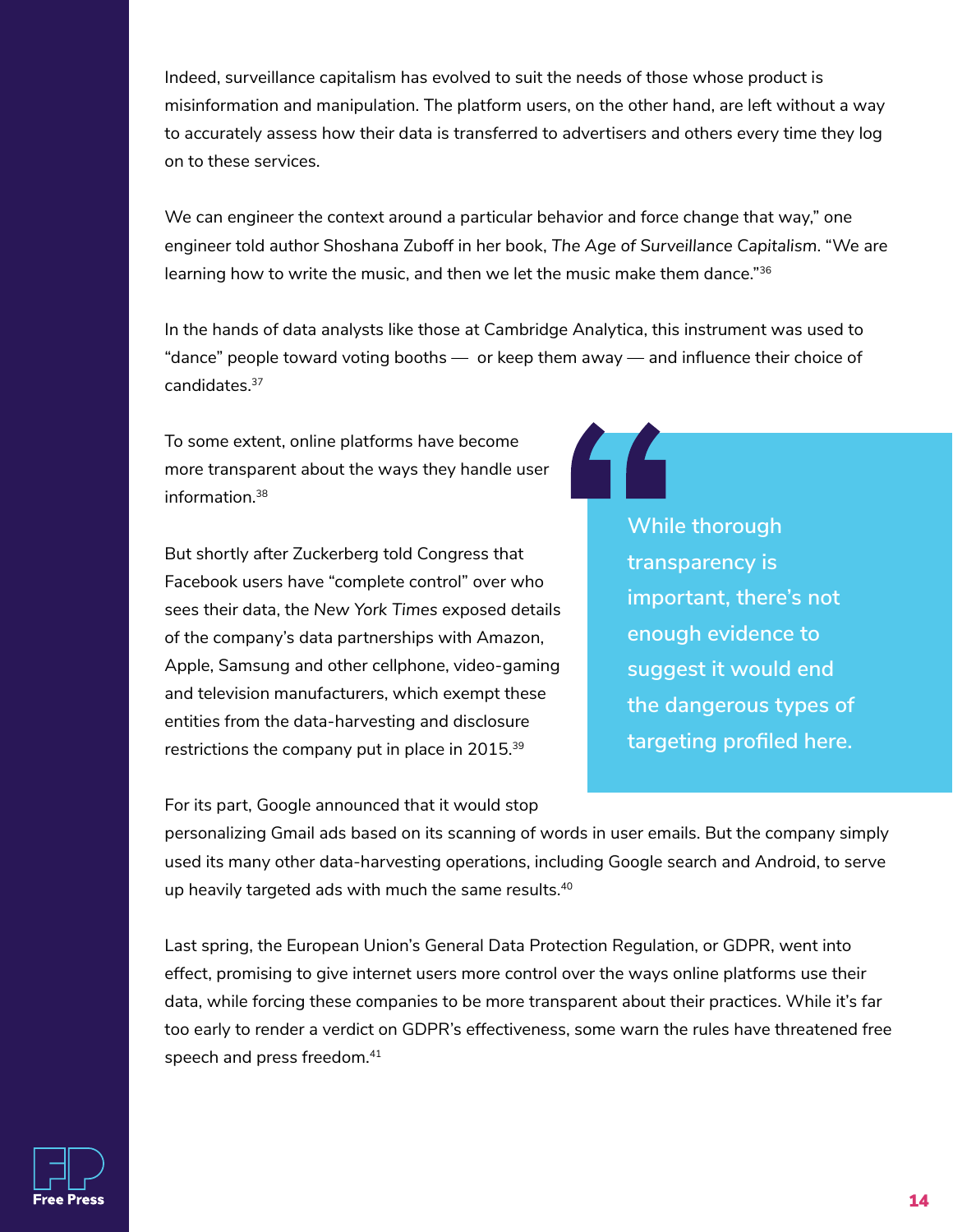Indeed, surveillance capitalism has evolved to suit the needs of those whose product is misinformation and manipulation. The platform users, on the other hand, are left without a way to accurately assess how their data is transferred to advertisers and others every time they log on to these services.

We can engineer the context around a particular behavior and force change that way," one engineer told author Shoshana Zuboff in her book, *The Age of Surveillance Capitalism*. "We are learning how to write the music, and then we let the music make them dance."<sup>36</sup>

In the hands of data analysts like those at Cambridge Analytica, this instrument was used to "dance" people toward voting booths — or keep them away — and influence their choice of candidates. 37

To some extent, online platforms have become more transparent about the ways they handle user information. 38

But shortly after Zuckerberg told Congress that Facebook users have "complete control" over who sees their data, the *New York Times* exposed details of the company's data partnerships with Amazon, Apple, Samsung and other cellphone, video-gaming and television manufacturers, which exempt these entities from the data-harvesting and disclosure restrictions the company put in place in 2015. $^{\rm 39}$ 

**While thorough transparency is important, there's not enough evidence to suggest it would end the dangerous types of targeting profiled here.**

For its part, Google announced that it would stop

personalizing Gmail ads based on its scanning of words in user emails. But the company simply used its many other data-harvesting operations, including Google search and Android, to serve up heavily targeted ads with much the same results. 40

Last spring, the European Union's General Data Protection Regulation, or GDPR, went into effect, promising to give internet users more control over the ways online platforms use their data, while forcing these companies to be more transparent about their practices. While it's far too early to render a verdict on GDPR's effectiveness, some warn the rules have threatened free speech and press freedom. 41

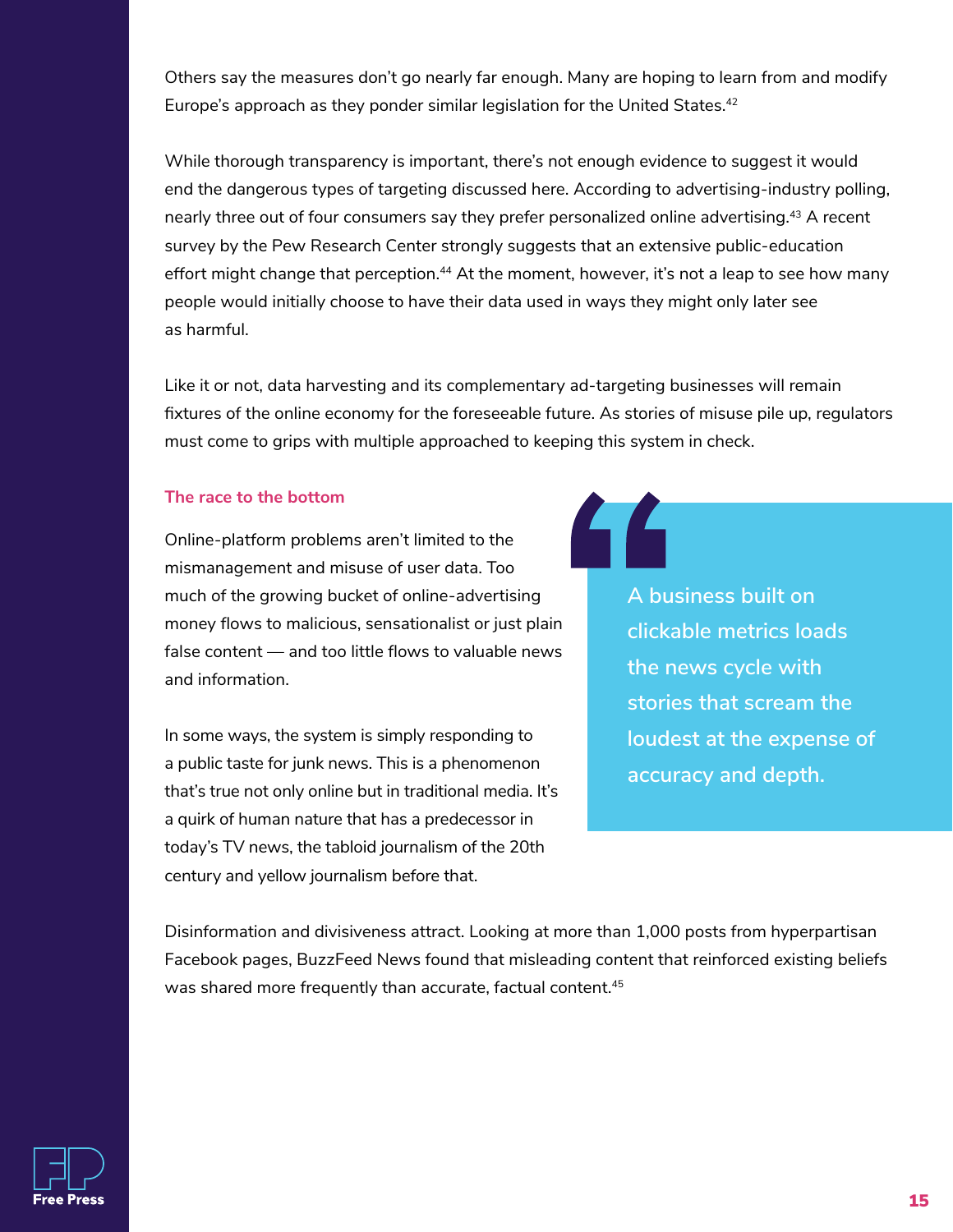Others say the measures don't go nearly far enough. Many are hoping to learn from and modify Europe's approach as they ponder similar legislation for the United States. 42

While thorough transparency is important, there's not enough evidence to suggest it would end the dangerous types of targeting discussed here. According to advertising-industry polling, nearly three out of four consumers say they prefer personalized online advertising.<sup>43</sup> A recent survey by the Pew Research Center strongly suggests that an extensive public-education effort might change that perception.<sup>44</sup> At the moment, however, it's not a leap to see how many people would initially choose to have their data used in ways they might only later see as harmful.

Like it or not, data harvesting and its complementary ad-targeting businesses will remain fixtures of the online economy for the foreseeable future. As stories of misuse pile up, regulators must come to grips with multiple approached to keeping this system in check.

#### **The race to the bottom**

Online-platform problems aren't limited to the mismanagement and misuse of user data. Too much of the growing bucket of online-advertising money flows to malicious, sensationalist or just plain false content — and too little flows to valuable news and information.

In some ways, the system is simply responding to a public taste for junk news. This is a phenomenon that's true not only online but in traditional media. It's a quirk of human nature that has a predecessor in today's TV news, the tabloid journalism of the 20th century and yellow journalism before that.

**A business built on clickable metrics loads the news cycle with stories that scream the loudest at the expense of accuracy and depth.**

Disinformation and divisiveness attract. Looking at more than 1,000 posts from hyperpartisan Facebook pages, BuzzFeed News found that misleading content that reinforced existing beliefs was shared more frequently than accurate, factual content. 45

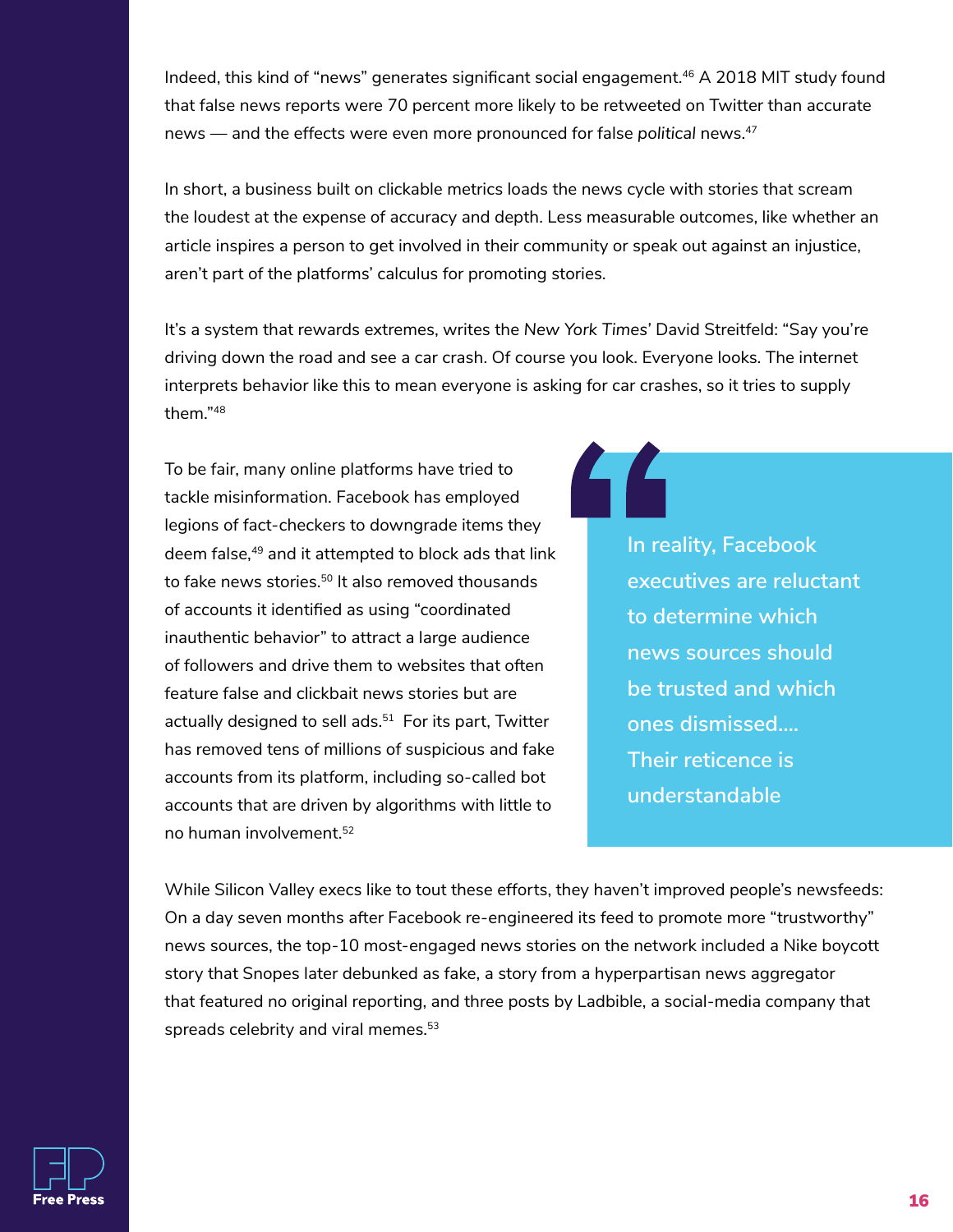Indeed, this kind of "news" generates significant social engagement.<sup>46</sup> A 2018 MIT study found that false news reports were 70 percent more likely to be retweeted on Twitter than accurate news — and the effects were even more pronounced for false *political* news. 47

In short, a business built on clickable metrics loads the news cycle with stories that scream the loudest at the expense of accuracy and depth. Less measurable outcomes, like whether an article inspires a person to get involved in their community or speak out against an injustice, aren't part of the platforms' calculus for promoting stories.

It's a system that rewards extremes, writes the *New York Times'* David Streitfeld: "Say you're driving down the road and see a car crash. Of course you look. Everyone looks. The internet interprets behavior like this to mean everyone is asking for car crashes, so it tries to supply them."48

To be fair, many online platforms have tried to tackle misinformation. Facebook has employed legions of fact-checkers to downgrade items they deem false,<sup>49</sup> and it attempted to block ads that link to fake news stories. 50 It also removed thousands of accounts it identified as using "coordinated inauthentic behavior" to attract a large audience of followers and drive them to websites that often feature false and clickbait news stories but are actually designed to sell ads. 51 For its part, Twitter has removed tens of millions of suspicious and fake accounts from its platform, including so-called bot accounts that are driven by algorithms with little to no human involvement. 52

**In reality, Facebook executives are reluctant to determine which news sources should be trusted and which ones dismissed…. Their reticence is understandable**

While Silicon Valley execs like to tout these efforts, they haven't improved people's newsfeeds: On a day seven months after Facebook re-engineered its feed to promote more "trustworthy" news sources, the top-10 most-engaged news stories on the network included a Nike boycott story that Snopes later debunked as fake, a story from a hyperpartisan news aggregator that featured no original reporting, and three posts by Ladbible, a social-media company that spreads celebrity and viral memes. 53

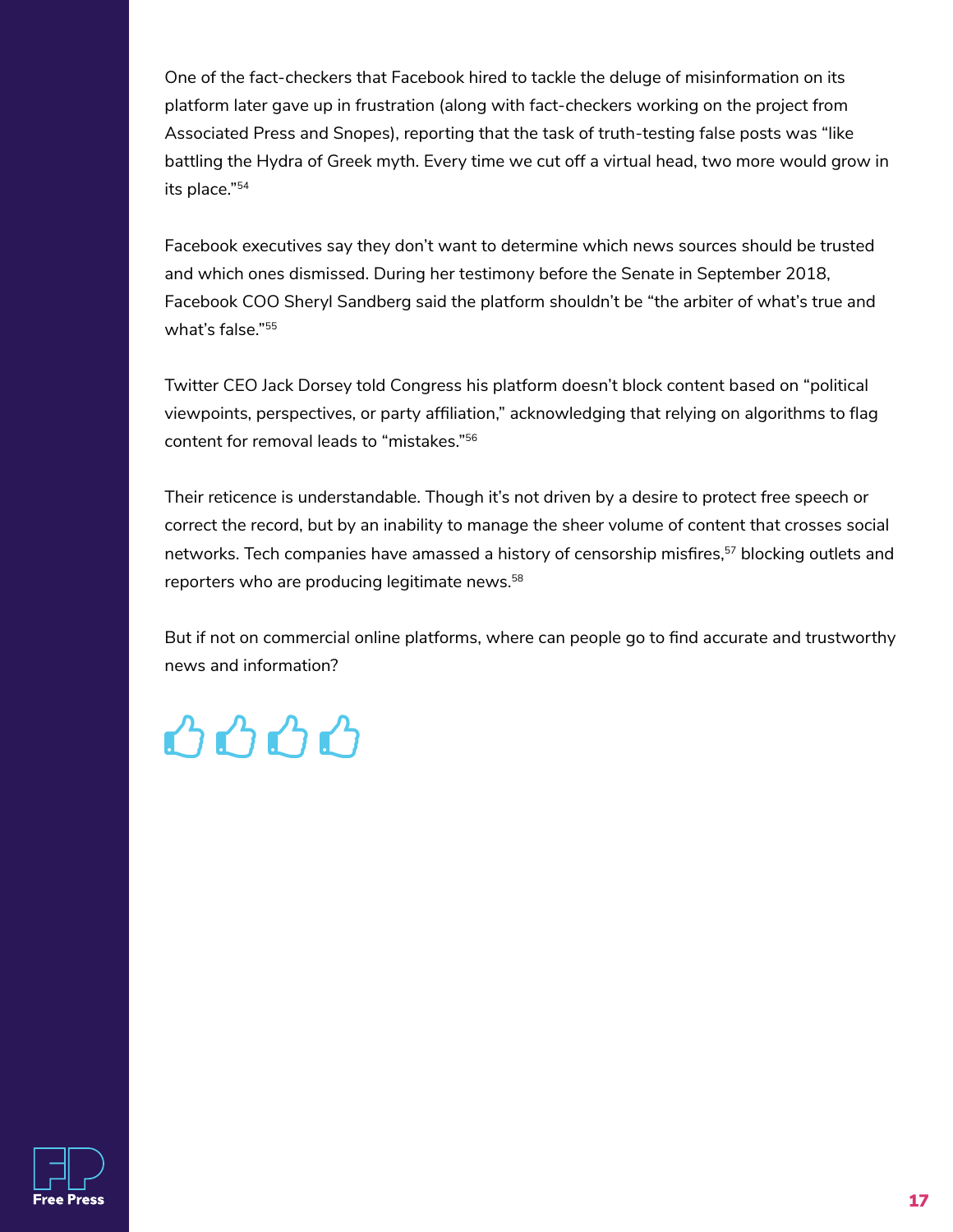One of the fact-checkers that Facebook hired to tackle the deluge of misinformation on its platform later gave up in frustration (along with fact-checkers working on the project from Associated Press and Snopes), reporting that the task of truth-testing false posts was "like battling the Hydra of Greek myth. Every time we cut off a virtual head, two more would grow in its place."54

Facebook executives say they don't want to determine which news sources should be trusted and which ones dismissed. During her testimony before the Senate in September 2018, Facebook COO Sheryl Sandberg said the platform shouldn't be "the arbiter of what's true and what's false."55

Twitter CEO Jack Dorsey told Congress his platform doesn't block content based on "political viewpoints, perspectives, or party affiliation," acknowledging that relying on algorithms to flag content for removal leads to "mistakes."56

Their reticence is understandable. Though it's not driven by a desire to protect free speech or correct the record, but by an inability to manage the sheer volume of content that crosses social networks. Tech companies have amassed a history of censorship misfires,<sup>57</sup> blocking outlets and reporters who are producing legitimate news. 58

But if not on commercial online platforms, where can people go to find accurate and trustworthy news and information?



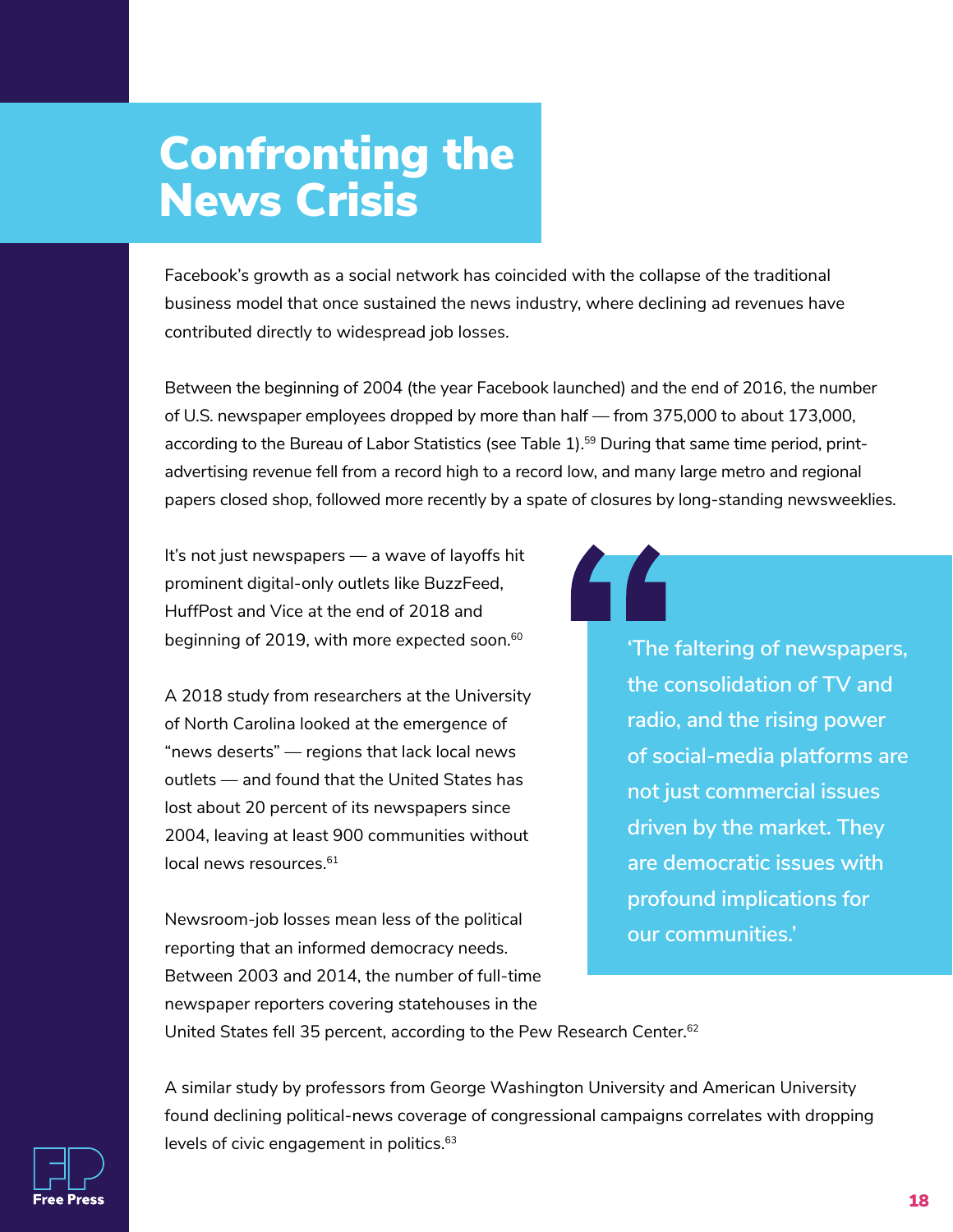### Confronting the News Crisis

Facebook's growth as a social network has coincided with the collapse of the traditional business model that once sustained the news industry, where declining ad revenues have contributed directly to widespread job losses.

Between the beginning of 2004 (the year Facebook launched) and the end of 2016, the number of U.S. newspaper employees dropped by more than half — from 375,000 to about 173,000, according to the Bureau of Labor Statistics (see Table 1).<sup>59</sup> During that same time period, printadvertising revenue fell from a record high to a record low, and many large metro and regional papers closed shop, followed more recently by a spate of closures by long-standing newsweeklies.

It's not just newspapers — a wave of layoffs hit prominent digital-only outlets like BuzzFeed, HuffPost and Vice at the end of 2018 and beginning of 2019, with more expected soon. $^{\rm 60}$ 

A 2018 study from researchers at the University of North Carolina looked at the emergence of "news deserts" — regions that lack local news outlets — and found that the United States has lost about 20 percent of its newspapers since 2004, leaving at least 900 communities without local news resources. 61

Newsroom-job losses mean less of the political reporting that an informed democracy needs. Between 2003 and 2014, the number of full-time newspaper reporters covering statehouses in the United States fell 35 percent, according to the Pew Research Center.<sup>62</sup>

**'The faltering of newspapers, the consolidation of TV and radio, and the rising power of social-media platforms are not just commercial issues driven by the market. They are democratic issues with profound implications for our communities.'**

A similar study by professors from George Washington University and American University found declining political-news coverage of congressional campaigns correlates with dropping levels of civic engagement in politics. 63

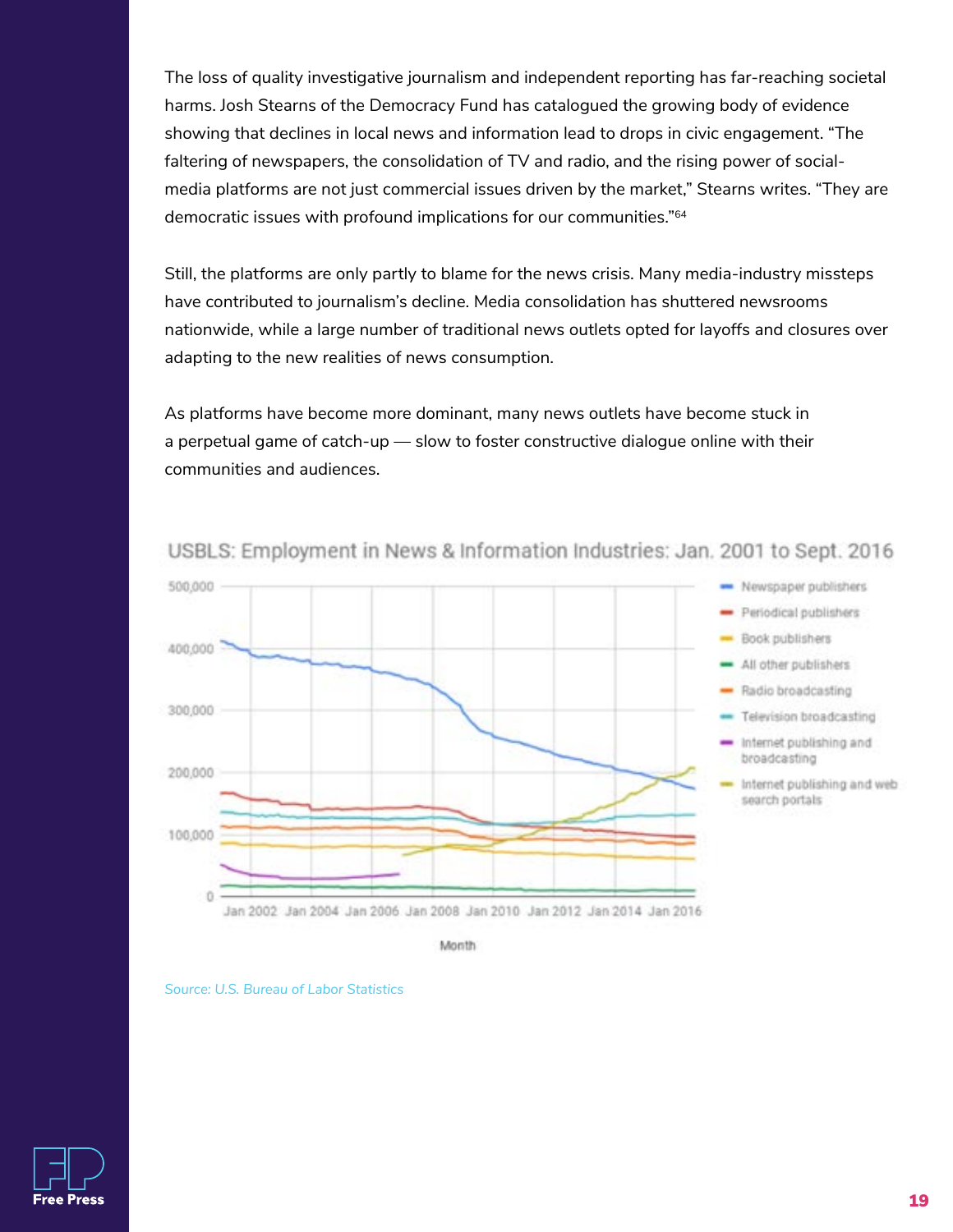The loss of quality investigative journalism and independent reporting has far-reaching societal harms. Josh Stearns of the Democracy Fund has catalogued the growing body of evidence showing that declines in local news and information lead to drops in civic engagement. "The faltering of newspapers, the consolidation of TV and radio, and the rising power of socialmedia platforms are not just commercial issues driven by the market," Stearns writes. "They are democratic issues with profound implications for our communities."64

Still, the platforms are only partly to blame for the news crisis. Many media-industry missteps have contributed to journalism's decline. Media consolidation has shuttered newsrooms nationwide, while a large number of traditional news outlets opted for layoffs and closures over adapting to the new realities of news consumption.

As platforms have become more dominant, many news outlets have become stuck in a perpetual game of catch-up — slow to foster constructive dialogue online with their communities and audiences.



#### USBLS: Employment in News & Information Industries: Jan. 2001 to Sept. 2016

Month



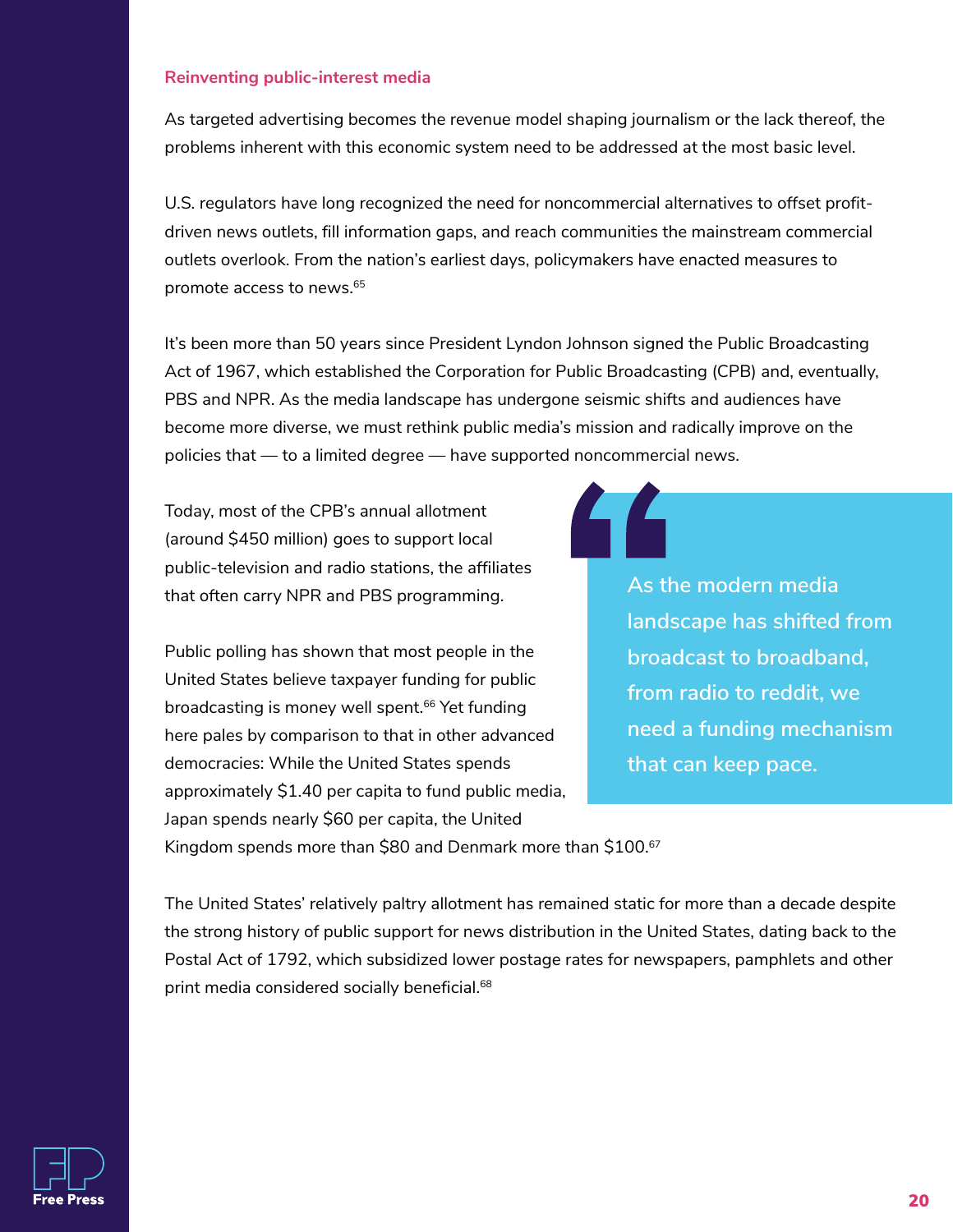#### **Reinventing public-interest media**

As targeted advertising becomes the revenue model shaping journalism or the lack thereof, the problems inherent with this economic system need to be addressed at the most basic level.

U.S. regulators have long recognized the need for noncommercial alternatives to offset profitdriven news outlets, fill information gaps, and reach communities the mainstream commercial outlets overlook. From the nation's earliest days, policymakers have enacted measures to promote access to news. 65

It's been more than 50 years since President Lyndon Johnson signed the Public Broadcasting Act of 1967, which established the Corporation for Public Broadcasting (CPB) and, eventually, PBS and NPR. As the media landscape has undergone seismic shifts and audiences have become more diverse, we must rethink public media's mission and radically improve on the policies that — to a limited degree — have supported noncommercial news.

Today, most of the CPB's annual allotment (around \$450 million) goes to support local public-television and radio stations, the affiliates that often carry NPR and PBS programming.

Public polling has shown that most people in the United States believe taxpayer funding for public broadcasting is money well spent. 66 Yet funding here pales by comparison to that in other advanced democracies: While the United States spends approximately \$1.40 per capita to fund public media, Japan spends nearly \$60 per capita, the United

**As the modern media landscape has shifted from broadcast to broadband, from radio to reddit, we need a funding mechanism that can keep pace.**

Kingdom spends more than \$80 and Denmark more than \$100. 67

The United States' relatively paltry allotment has remained static for more than a decade despite the strong history of public support for news distribution in the United States, dating back to the Postal Act of 1792, which subsidized lower postage rates for newspapers, pamphlets and other print media considered socially beneficial. 68

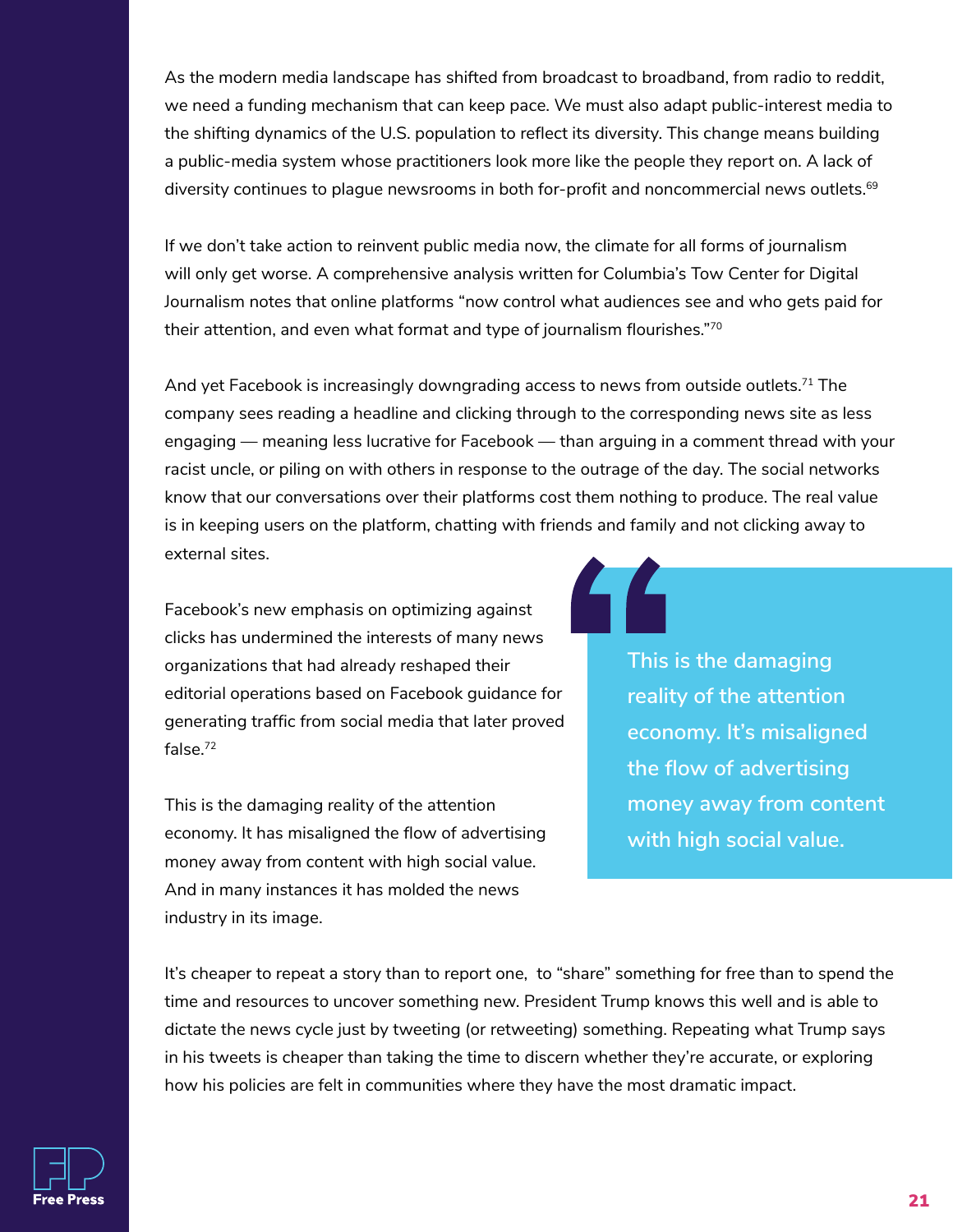As the modern media landscape has shifted from broadcast to broadband, from radio to reddit, we need a funding mechanism that can keep pace. We must also adapt public-interest media to the shifting dynamics of the U.S. population to reflect its diversity. This change means building a public-media system whose practitioners look more like the people they report on. A lack of diversity continues to plague newsrooms in both for-profit and noncommercial news outlets. $^{69}$ 

If we don't take action to reinvent public media now, the climate for all forms of journalism will only get worse. A comprehensive analysis written for Columbia's Tow Center for Digital Journalism notes that online platforms "now control what audiences see and who gets paid for their attention, and even what format and type of journalism flourishes."<sup>70</sup>

And yet Facebook is increasingly downgrading access to news from outside outlets. 71 The company sees reading a headline and clicking through to the corresponding news site as less engaging — meaning less lucrative for Facebook — than arguing in a comment thread with your racist uncle, or piling on with others in response to the outrage of the day. The social networks know that our conversations over their platforms cost them nothing to produce. The real value is in keeping users on the platform, chatting with friends and family and not clicking away to external sites.

Facebook's new emphasis on optimizing against clicks has undermined the interests of many news organizations that had already reshaped their editorial operations based on Facebook guidance for generating traffic from social media that later proved false. 72

This is the damaging reality of the attention economy. It has misaligned the flow of advertising money away from content with high social value. And in many instances it has molded the news industry in its image.

#### **This is the damaging reality of the attention economy. It's misaligned the flow of advertising money away from content with high social value.**

It's cheaper to repeat a story than to report one, to "share" something for free than to spend the time and resources to uncover something new. President Trump knows this well and is able to dictate the news cycle just by tweeting (or retweeting) something. Repeating what Trump says in his tweets is cheaper than taking the time to discern whether they're accurate, or exploring how his policies are felt in communities where they have the most dramatic impact.

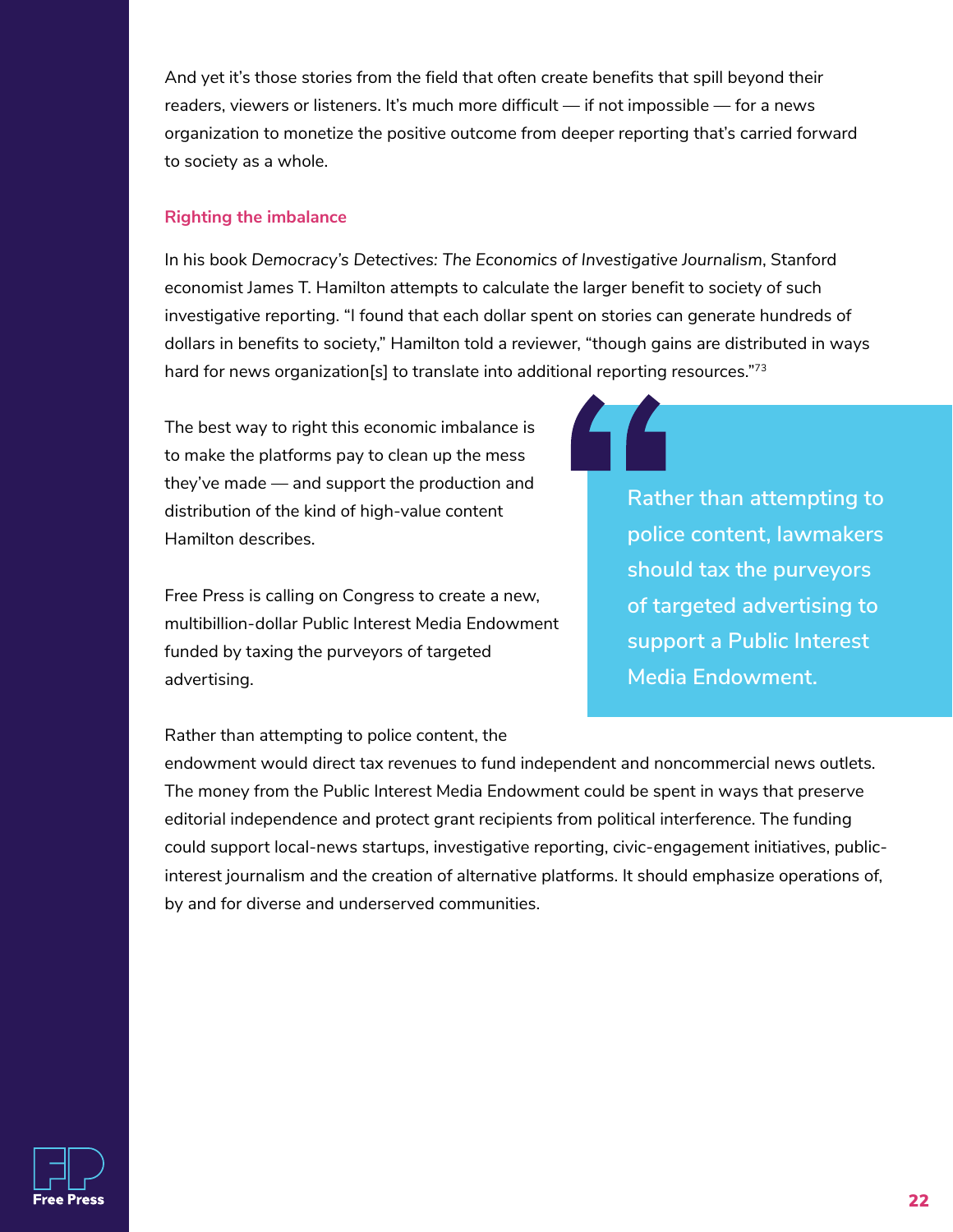And yet it's those stories from the field that often create benefits that spill beyond their readers, viewers or listeners. It's much more difficult — if not impossible — for a news organization to monetize the positive outcome from deeper reporting that's carried forward to society as a whole.

#### **Righting the imbalance**

In his book *Democracy's Detectives: The Economics of Investigative Journalism*, Stanford economist James T. Hamilton attempts to calculate the larger benefit to society of such investigative reporting. "I found that each dollar spent on stories can generate hundreds of dollars in benefits to society," Hamilton told a reviewer, "though gains are distributed in ways hard for news organization[s] to translate into additional reporting resources."73

The best way to right this economic imbalance is to make the platforms pay to clean up the mess they've made — and support the production and distribution of the kind of high-value content Hamilton describes.

Free Press is calling on Congress to create a new, multibillion-dollar Public Interest Media Endowment funded by taxing the purveyors of targeted advertising.

**Rather than attempting to police content, lawmakers should tax the purveyors of targeted advertising to support a Public Interest Media Endowment.**

Rather than attempting to police content, the

endowment would direct tax revenues to fund independent and noncommercial news outlets. The money from the Public Interest Media Endowment could be spent in ways that preserve editorial independence and protect grant recipients from political interference. The funding could support local-news startups, investigative reporting, civic-engagement initiatives, publicinterest journalism and the creation of alternative platforms. It should emphasize operations of, by and for diverse and underserved communities.

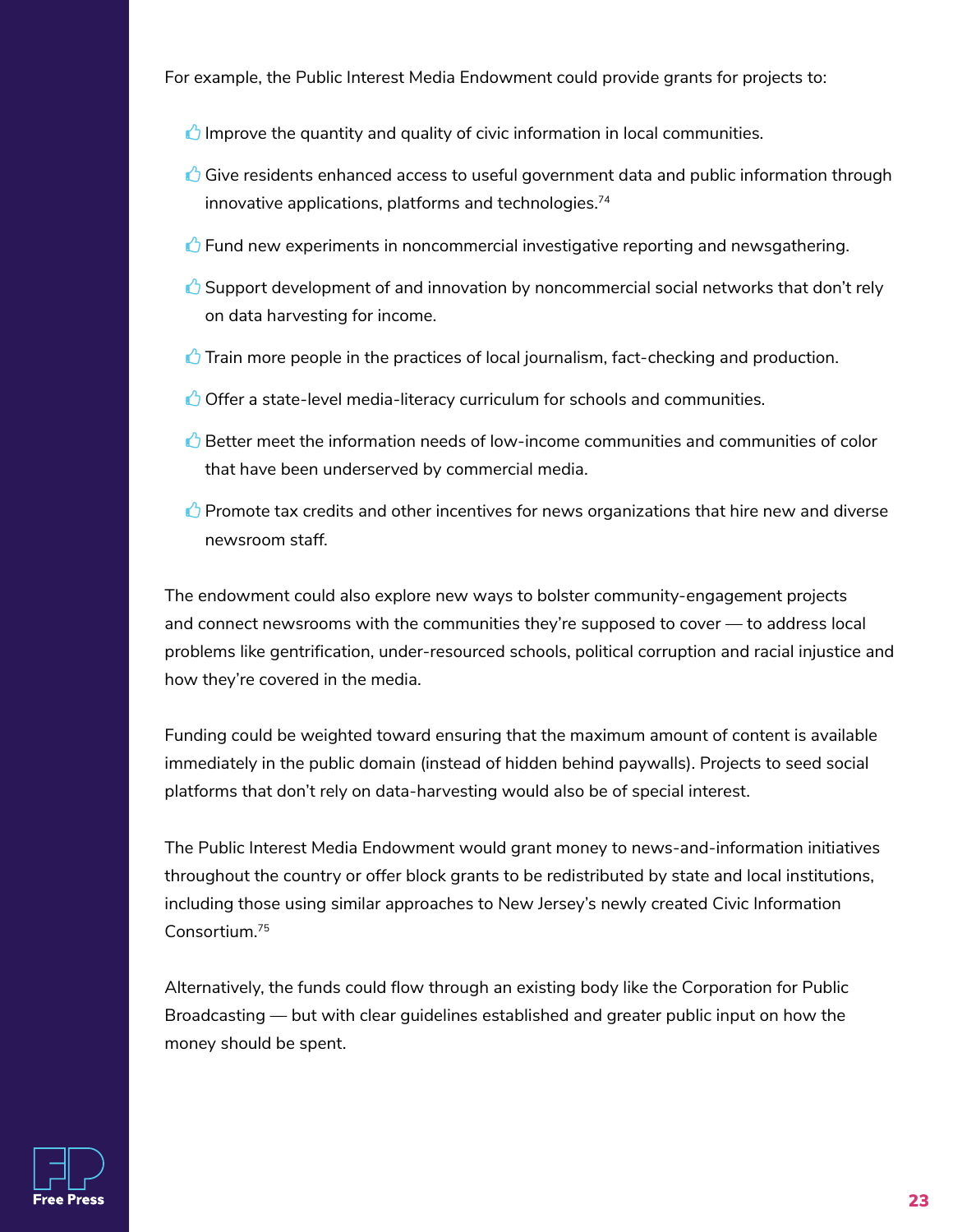For example, the Public Interest Media Endowment could provide grants for projects to:

 $\bigcirc$  Improve the quantity and quality of civic information in local communities.

- $\bigcirc$  Give residents enhanced access to useful government data and public information through innovative applications, platforms and technologies. 74
- G Fund new experiments in noncommercial investigative reporting and newsgathering.
- $\bigcirc$  Support development of and innovation by noncommercial social networks that don't rely on data harvesting for income.
- $\triangle$  Train more people in the practices of local journalism, fact-checking and production.
- $\bigcirc$  Offer a state-level media-literacy curriculum for schools and communities.
- $\triangle$  Better meet the information needs of low-income communities and communities of color that have been underserved by commercial media.
- $\bigcirc$  Promote tax credits and other incentives for news organizations that hire new and diverse newsroom staff.

The endowment could also explore new ways to bolster community-engagement projects and connect newsrooms with the communities they're supposed to cover — to address local problems like gentrification, under-resourced schools, political corruption and racial injustice and how they're covered in the media.

Funding could be weighted toward ensuring that the maximum amount of content is available immediately in the public domain (instead of hidden behind paywalls). Projects to seed social platforms that don't rely on data-harvesting would also be of special interest.

The Public Interest Media Endowment would grant money to news-and-information initiatives throughout the country or offer block grants to be redistributed by state and local institutions, including those using similar approaches to New Jersey's newly created Civic Information Consortium.<sup>75</sup>

Alternatively, the funds could flow through an existing body like the Corporation for Public Broadcasting — but with clear guidelines established and greater public input on how the money should be spent.

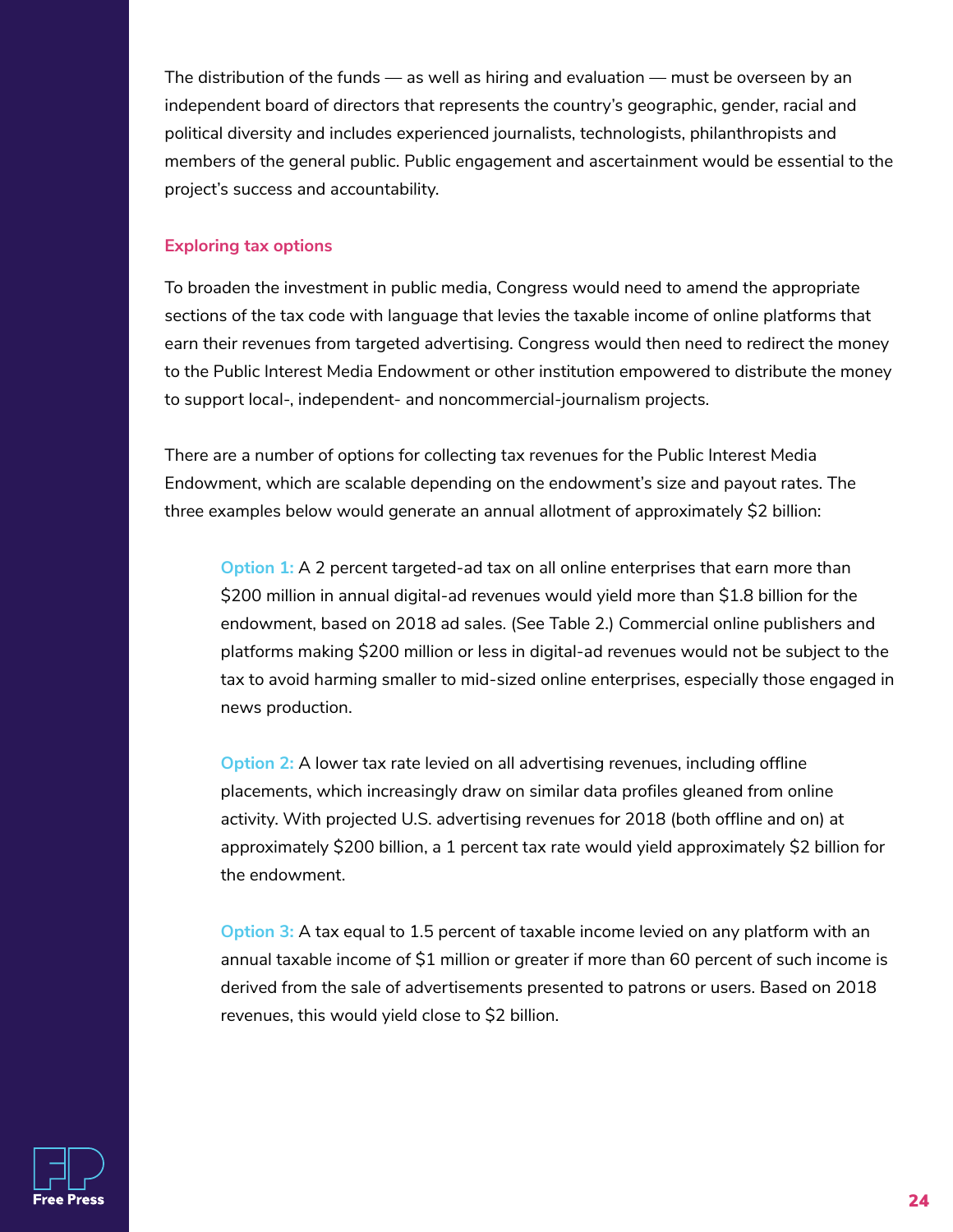The distribution of the funds — as well as hiring and evaluation — must be overseen by an independent board of directors that represents the country's geographic, gender, racial and political diversity and includes experienced journalists, technologists, philanthropists and members of the general public. Public engagement and ascertainment would be essential to the project's success and accountability.

#### **Exploring tax options**

To broaden the investment in public media, Congress would need to amend the appropriate sections of the tax code with language that levies the taxable income of online platforms that earn their revenues from targeted advertising. Congress would then need to redirect the money to the Public Interest Media Endowment or other institution empowered to distribute the money to support local-, independent- and noncommercial-journalism projects.

There are a number of options for collecting tax revenues for the Public Interest Media Endowment, which are scalable depending on the endowment's size and payout rates. The three examples below would generate an annual allotment of approximately \$2 billion:

**Option 1:** A 2 percent targeted-ad tax on all online enterprises that earn more than \$200 million in annual digital-ad revenues would yield more than \$1.8 billion for the endowment, based on 2018 ad sales. (See Table 2.) Commercial online publishers and platforms making \$200 million or less in digital-ad revenues would not be subject to the tax to avoid harming smaller to mid-sized online enterprises, especially those engaged in news production.

**Option 2:** A lower tax rate levied on all advertising revenues, including offline placements, which increasingly draw on similar data profiles gleaned from online activity. With projected U.S. advertising revenues for 2018 (both offline and on) at approximately \$200 billion, a 1 percent tax rate would yield approximately \$2 billion for the endowment.

**Option 3:** A tax equal to 1.5 percent of taxable income levied on any platform with an annual taxable income of \$1 million or greater if more than 60 percent of such income is derived from the sale of advertisements presented to patrons or users. Based on 2018 revenues, this would yield close to \$2 billion.

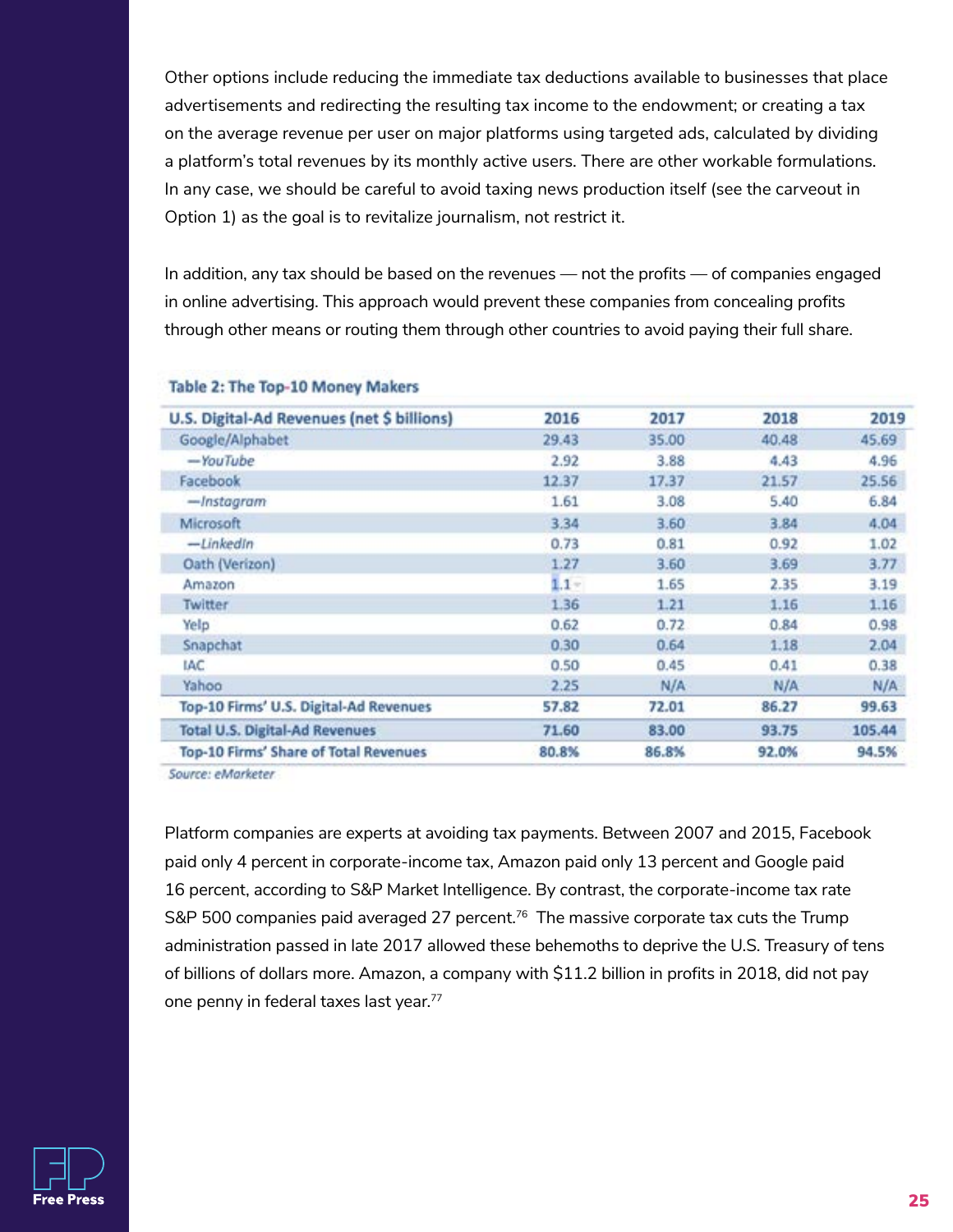Other options include reducing the immediate tax deductions available to businesses that place advertisements and redirecting the resulting tax income to the endowment; or creating a tax on the average revenue per user on major platforms using targeted ads, calculated by dividing a platform's total revenues by its monthly active users. There are other workable formulations. In any case, we should be careful to avoid taxing news production itself (see the carveout in Option 1) as the goal is to revitalize journalism, not restrict it.

In addition, any tax should be based on the revenues — not the profits — of companies engaged in online advertising. This approach would prevent these companies from concealing profits through other means or routing them through other countries to avoid paying their full share.

| U.S. Digital-Ad Revenues (net \$ billions) | 2016    | 2017  | 2018  | 2019   |
|--------------------------------------------|---------|-------|-------|--------|
| Google/Alphabet                            | 29.43   | 35.00 | 40.48 | 45.69  |
| -YouTube                                   | 2.92    | 3.88  | 4.43  | 4.96   |
| Facebook                                   | 12.37   | 17.37 | 21.57 | 25.56  |
| -Instagram                                 | 1.61    | 3.08  | 5.40  | 6.84   |
| Microsoft                                  | 3.34    | 3.60  | 3.84  | 4.04   |
| -LinkedIn                                  | 0.73    | 0.81  | 0.92  | 1.02   |
| Oath (Verizon)                             | 1.27    | 3.60  | 3.69  | 3.77   |
| Amazon                                     | $1.1 -$ | 1.65  | 2.35  | 3.19   |
| Twitter                                    | 1.36    | 1.21  | 1.16  | 1.16   |
| Yelp                                       | 0.62    | 0.72  | 0.84  | 0.98   |
| Snapchat                                   | 0.30    | 0.64  | 1.18  | 2.04   |
| IAC.                                       | 0.50    | 0.45  | 0.41  | 0.38   |
| Yahoo                                      | 2.25    | N/A   | N/A   | N/A    |
| Top-10 Firms' U.S. Digital-Ad Revenues     | 57.82   | 72.01 | 86.27 | 99.63  |
| <b>Total U.S. Digital-Ad Revenues</b>      | 71.60   | 83.00 | 93.75 | 105.44 |
| Top-10 Firms' Share of Total Revenues      | 80.8%   | 86.8% | 92.0% | 94.5%  |
|                                            |         |       |       |        |

#### Table 2: The Top-10 Money Makers

Source: eMarketer.

Platform companies are experts at avoiding tax payments. Between 2007 and 2015, Facebook paid only 4 percent in corporate-income tax, Amazon paid only 13 percent and Google paid 16 percent, according to S&P Market Intelligence. By contrast, the corporate-income tax rate S&P 500 companies paid averaged 27 percent. $^{76}$  The massive corporate tax cuts the Trump administration passed in late 2017 allowed these behemoths to deprive the U.S. Treasury of tens of billions of dollars more. Amazon, a company with \$11.2 billion in profits in 2018, did not pay one penny in federal taxes last year. 77

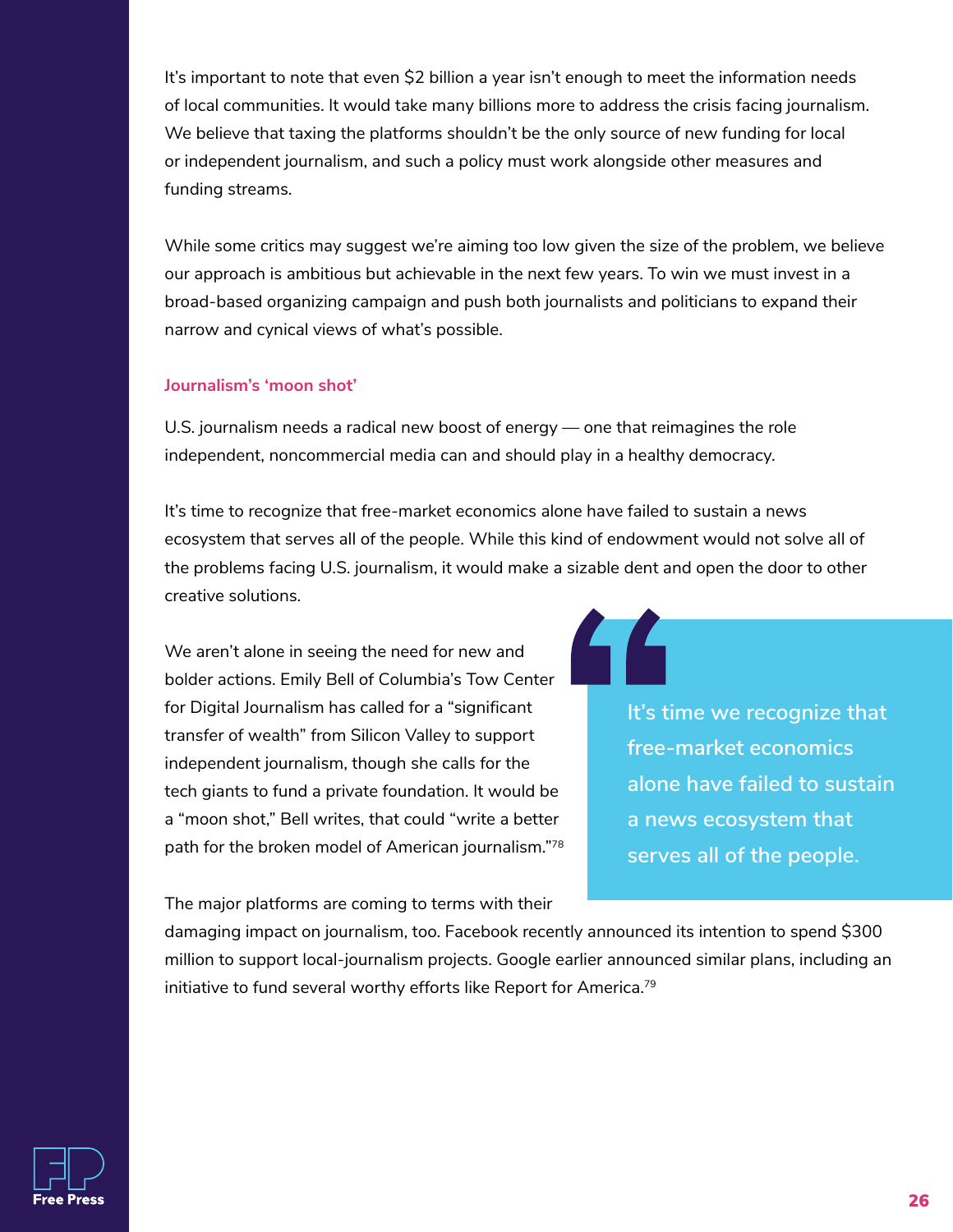It's important to note that even \$2 billion a year isn't enough to meet the information needs of local communities. It would take many billions more to address the crisis facing journalism. We believe that taxing the platforms shouldn't be the only source of new funding for local or independent journalism, and such a policy must work alongside other measures and funding streams.

While some critics may suggest we're aiming too low given the size of the problem, we believe our approach is ambitious but achievable in the next few years. To win we must invest in a broad-based organizing campaign and push both journalists and politicians to expand their narrow and cynical views of what's possible.

#### **Journalism's 'moon shot'**

U.S. journalism needs a radical new boost of energy — one that reimagines the role independent, noncommercial media can and should play in a healthy democracy.

It's time to recognize that free-market economics alone have failed to sustain a news ecosystem that serves all of the people. While this kind of endowment would not solve all of the problems facing U.S. journalism, it would make a sizable dent and open the door to other creative solutions.

We aren't alone in seeing the need for new and bolder actions. Emily Bell of Columbia's Tow Center for Digital Journalism has called for a "significant transfer of wealth" from Silicon Valley to support independent journalism, though she calls for the tech giants to fund a private foundation. It would be a "moon shot," Bell writes, that could "write a better path for the broken model of American journalism."78

The major platforms are coming to terms with their

**It's time we recognize that free-market economics alone have failed to sustain a news ecosystem that serves all of the people.**

damaging impact on journalism, too. Facebook recently announced its intention to spend \$300 million to support local-journalism projects. Google earlier announced similar plans, including an initiative to fund several worthy efforts like Report for America. $^{79}$ 

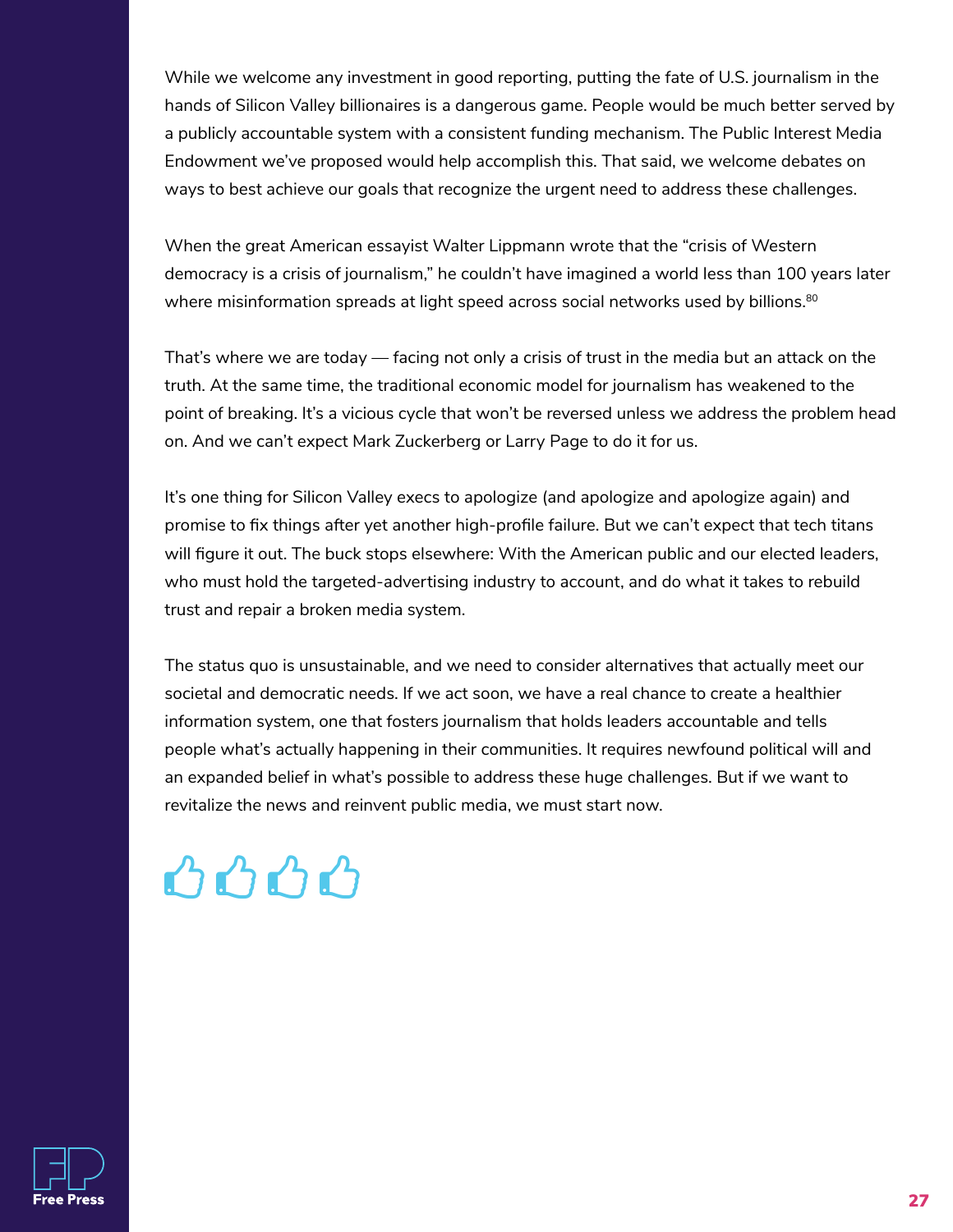While we welcome any investment in good reporting, putting the fate of U.S. journalism in the hands of Silicon Valley billionaires is a dangerous game. People would be much better served by a publicly accountable system with a consistent funding mechanism. The Public Interest Media Endowment we've proposed would help accomplish this. That said, we welcome debates on ways to best achieve our goals that recognize the urgent need to address these challenges.

When the great American essayist Walter Lippmann wrote that the "crisis of Western democracy is a crisis of journalism," he couldn't have imagined a world less than 100 years later where misinformation spreads at light speed across social networks used by billions. $^{\text{80}}$ 

That's where we are today — facing not only a crisis of trust in the media but an attack on the truth. At the same time, the traditional economic model for journalism has weakened to the point of breaking. It's a vicious cycle that won't be reversed unless we address the problem head on. And we can't expect Mark Zuckerberg or Larry Page to do it for us.

It's one thing for Silicon Valley execs to apologize (and apologize and apologize again) and promise to fix things after yet another high-profile failure. But we can't expect that tech titans will figure it out. The buck stops elsewhere: With the American public and our elected leaders, who must hold the targeted-advertising industry to account, and do what it takes to rebuild trust and repair a broken media system.

The status quo is unsustainable, and we need to consider alternatives that actually meet our societal and democratic needs. If we act soon, we have a real chance to create a healthier information system, one that fosters journalism that holds leaders accountable and tells people what's actually happening in their communities. It requires newfound political will and an expanded belief in what's possible to address these huge challenges. But if we want to revitalize the news and reinvent public media, we must start now.

### $\triangle \triangle \triangle \triangle$

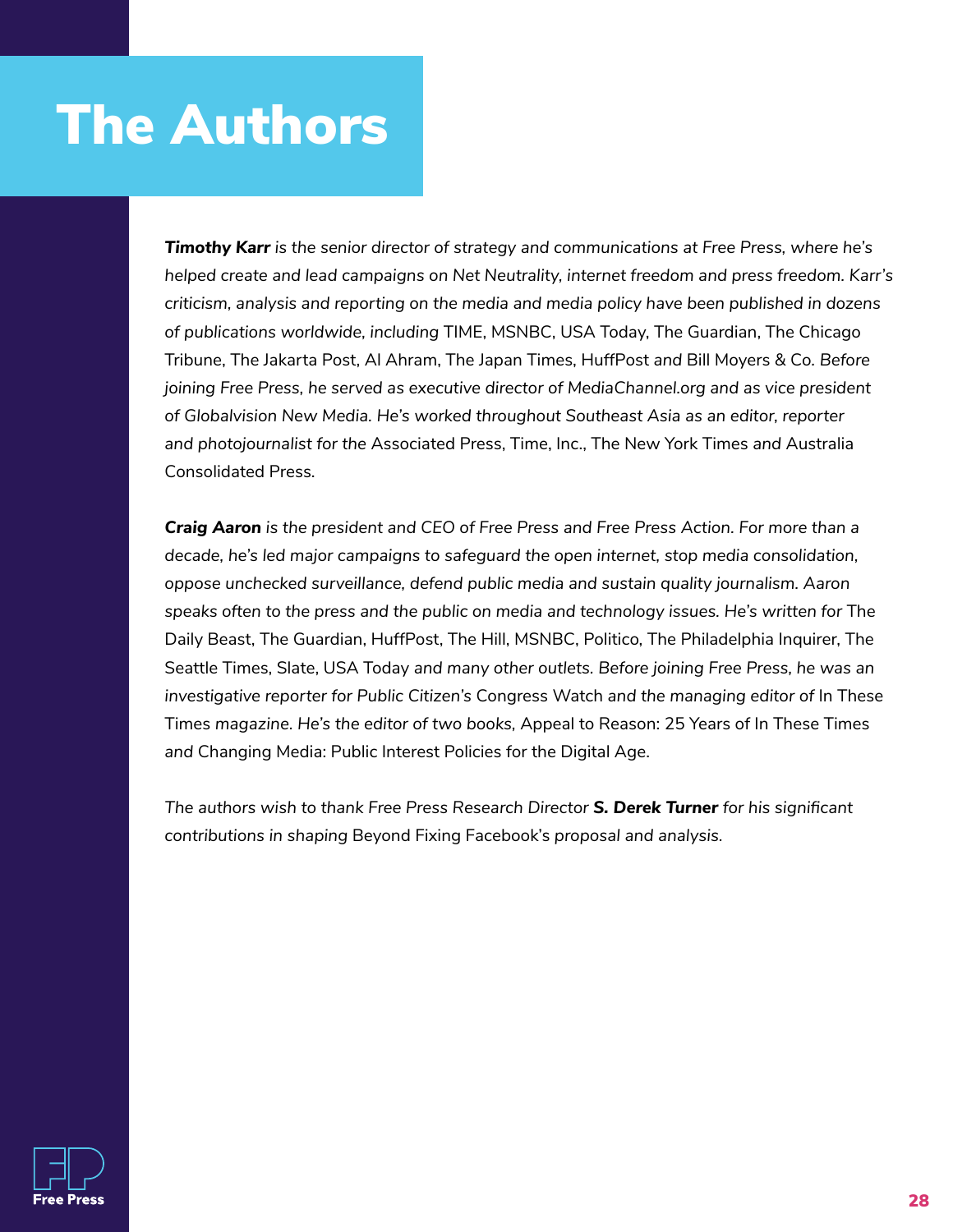### The Authors

*Timothy Karr is the senior director of strategy and communications at Free Press, where he's helped create and lead campaigns on Net Neutrality, internet freedom and press freedom. Karr's criticism, analysis and reporting on the media and media policy have been published in dozens of publications worldwide, including* TIME, MSNBC, USA Today, The Guardian, The Chicago Tribune, The Jakarta Post, Al Ahram, The Japan Times, HuffPost *and* Bill Moyers & Co*. Before joining Free Press, he served as executive director of MediaChannel.org and as vice president of Globalvision New Media. He's worked throughout Southeast Asia as an editor, reporter and photojournalist for the* Associated Press, Time, Inc., The New York Times *and* Australia Consolidated Press.

*Craig Aaron is the president and CEO of Free Press and Free Press Action. For more than a decade, he's led major campaigns to safeguard the open internet, stop media consolidation, oppose unchecked surveillance, defend public media and sustain quality journalism. Aaron*  speaks often to the press and the public on media and technology issues. He's written for The Daily Beast, The Guardian, HuffPost, The Hill, MSNBC, Politico, The Philadelphia Inquirer, The Seattle Times, Slate, USA Today *and many other outlets. Before joining Free Press, he was an investigative reporter for Public Citizen's* Congress Watch *and the managing editor of* In These Times *magazine. He's the editor of two books,* Appeal to Reason: 25 Years of In These Times *and* Changing Media: Public Interest Policies for the Digital Age.

*The authors wish to thank Free Press Research Director S. Derek Turner for his significant contributions in shaping* Beyond Fixing Facebook's *proposal and analysis.*

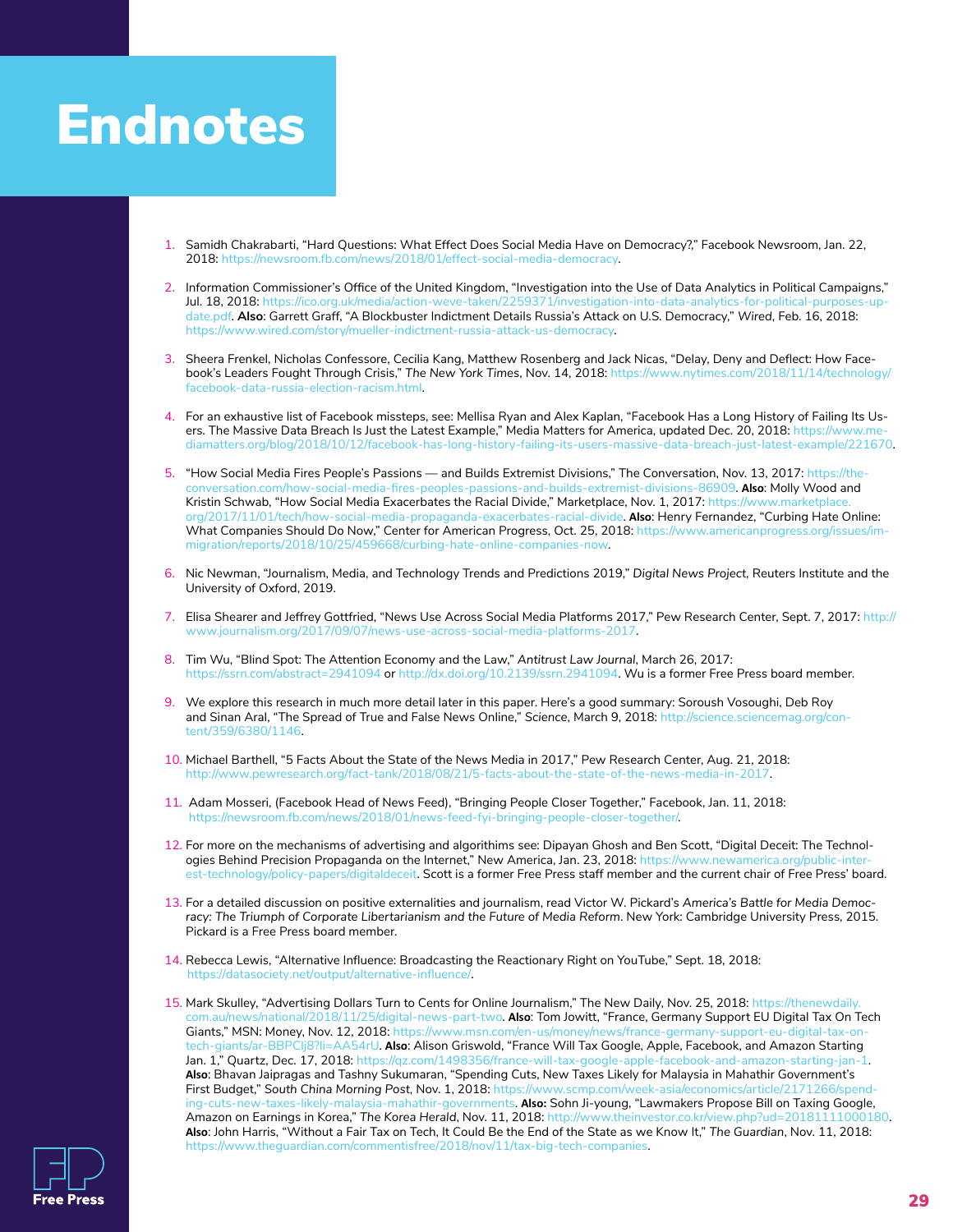### **Endnotes**

- 1. Samidh Chakrabarti, "Hard Questions: What Effect Does Social Media Have on Democracy?," Facebook Newsroom, Jan. 22, 2018:<https://newsroom.fb.com/news/2018/01/effect-social-media-democracy>.
- 2. Information Commissioner's Office of the United Kingdom, "Investigation into the Use of Data Analytics in Political Campaigns," Jul. 18, 2018: [https://ico.org.uk/media/action-weve-taken/2259371/investigation-into-data-analytics-for-political-purposes-up](https://ico.org.uk/media/action-weve-taken/2259371/investigation-into-data-analytics-for-political-purposes-update.pdf)[date.pdf.](https://ico.org.uk/media/action-weve-taken/2259371/investigation-into-data-analytics-for-political-purposes-update.pdf) **Also**: Garrett Graff, "A Blockbuster Indictment Details Russia's Attack on U.S. Democracy," *Wired*, Feb. 16, 2018: [https://www.wired.com/story/mueller-indictment-russia-attack-us-democracy.](https://www.wired.com/story/mueller-indictment-russia-attack-us-democracy)
- 3. Sheera Frenkel, Nicholas Confessore, Cecilia Kang, Matthew Rosenberg and Jack Nicas, "Delay, Deny and Deflect: How Facebook's Leaders Fought Through Crisis," *The New York Times*, Nov. 14, 2018: [https://www.nytimes.com/2018/11/14/technology/](https://www.nytimes.com/2018/11/14/technology/facebook-data-russia-election-racism.html) [facebook-data-russia-election-racism.html](https://www.nytimes.com/2018/11/14/technology/facebook-data-russia-election-racism.html).
- 4. For an exhaustive list of Facebook missteps, see: Mellisa Ryan and Alex Kaplan, "Facebook Has a Long History of Failing Its Users. The Massive Data Breach Is Just the Latest Example," Media Matters for America, updated Dec. 20, 2018: [https://www.me](https://www.mediamatters.org/blog/2018/10/12/facebook-has-long-history-failing-its-users-massive-data-breach-just-latest-example/221670)[diamatters.org/blog/2018/10/12/facebook-has-long-history-failing-its-users-massive-data-breach-just-latest-example/221670.](https://www.mediamatters.org/blog/2018/10/12/facebook-has-long-history-failing-its-users-massive-data-breach-just-latest-example/221670)
- 5. "How Social Media Fires People's Passions and Builds Extremist Divisions," The Conversation, Nov. 13, 2017: [https://the](https://theconversation.com/how-social-media-fires-peoples-passions-and-builds-extremist-divisions-86909)[conversation.com/how-social-media-fires-peoples-passions-and-builds-extremist-divisions-86909](https://theconversation.com/how-social-media-fires-peoples-passions-and-builds-extremist-divisions-86909). **Also**: Molly Wood and Kristin Schwab, "How Social Media Exacerbates the Racial Divide," Marketplace, Nov. 1, 2017: https://www.marketplac [org/2017/11/01/tech/how-social-media-propaganda-exacerbates-racial-divide.](https://www.marketplace.org/2017/11/01/tech/how-social-media-propaganda-exacerbates-racial-divide) **Also**: Henry Fernandez, "Curbing Hate Online: What Companies Should Do Now," Center for American Progress, Oct. 25, 2018: [https://www.americanprogress.org/issues/im](https://www.americanprogress.org/issues/immigration/reports/2018/10/25/459668/curbing-hate-online-companies-now)[migration/reports/2018/10/25/459668/curbing-hate-online-companies-now.](https://www.americanprogress.org/issues/immigration/reports/2018/10/25/459668/curbing-hate-online-companies-now)
- 6. Nic Newman, "Journalism, Media, and Technology Trends and Predictions 2019," *Digital News Project,* Reuters Institute and the University of Oxford, 2019.
- 7. Elisa Shearer and Jeffrey Gottfried, "News Use Across Social Media Platforms 2017," Pew Research Center, Sept. 7, 2017: [http://](http://www.journalism.org/2017/09/07/news-use-across-social-media-platforms-2017) [www.journalism.org/2017/09/07/news-use-across-social-media-platforms-2017.](http://www.journalism.org/2017/09/07/news-use-across-social-media-platforms-2017)
- 8. Tim Wu, "Blind Spot: The Attention Economy and the Law," *Antitrust Law Journal*, March 26, 2017: <https://ssrn.com/abstract=2941094>o[r http://dx.doi.org/10.2139/ssrn.2941094](http://dx.doi.org/10.2139/ssrn.2941094). Wu is a former Free Press board member.
- 9. We explore this research in much more detail later in this paper. Here's a good summary: Soroush Vosoughi, Deb Roy and Sinan Aral, "The Spread of True and False News Online," *Science*, March 9, 2018: [http://science.sciencemag.org/con](http://science.sciencemag.org/content/359/6380/1146)[tent/359/6380/1146.](http://science.sciencemag.org/content/359/6380/1146)
- 10. Michael Barthell, "5 Facts About the State of the News Media in 2017," Pew Research Center, Aug. 21, 2018: [http://www.pewresearch.org/fact-tank/2018/08/21/5-facts-about-the-state-of-the-news-media-in-2017.](http://www.pewresearch.org/fact-tank/2018/08/21/5-facts-about-the-state-of-the-news-media-in-2017)
- 11. Adam Mosseri, (Facebook Head of News Feed), "Bringing People Closer Together," Facebook, Jan. 11, 2018: [https://newsroom.fb.com/news/2018/01/news-feed-fyi-bringing-people-closer-together/.](https://newsroom.fb.com/news/2018/01/news-feed-fyi-bringing-people-closer-together/)
- 12. For more on the mechanisms of advertising and algorithims see: Dipayan Ghosh and Ben Scott, "Digital Deceit: The Technologies Behind Precision Propaganda on the Internet," New America, Jan. 23, 2018: https://www.newamerica.org/public-inter [est-technology/policy-papers/digitaldeceit](https://www.newamerica.org/public-interest-technology/policy-papers/digitaldeceit). Scott is a former Free Press staff member and the current chair of Free Press' board.
- 13. For a detailed discussion on positive externalities and journalism, read Victor W. Pickard's *America's Battle for Media Democ*racy: The Triumph of Corporate Libertarianism and the Future of Media Reform. New York: Cambridge University Press, 2015. Pickard is a Free Press board member.
- 14. Rebecca Lewis, "Alternative Influence: Broadcasting the Reactionary Right on YouTube," Sept. 18, 2018: <https://datasociety.net/output/alternative-influence/>.
- 15. Mark Skulley, "Advertising Dollars Turn to Cents for Online Journalism," The New Daily, Nov. 25, 2018: [https://thenewdaily.](https://thenewdaily.com.au/news/national/2018/11/25/digital-news-part-two) [com.au/news/national/2018/11/25/digital-news-part-two.](https://thenewdaily.com.au/news/national/2018/11/25/digital-news-part-two) **Also**: Tom Jowitt, "France, Germany Support EU Digital Tax On Tech Giants," MSN: Money, Nov. 12, 2018: [https://www.msn.com/en-us/money/news/france-germany-support-eu-digital-tax-on](https://www.msn.com/en-us/money/news/france-germany-support-eu-digital-tax-on-tech-giants/ar-BBPClj8?li=AA54rU)[tech-giants/ar-BBPClj8?li=AA54rU](https://www.msn.com/en-us/money/news/france-germany-support-eu-digital-tax-on-tech-giants/ar-BBPClj8?li=AA54rU). **Also**: Alison Griswold, "France Will Tax Google, Apple, Facebook, and Amazon Starting Jan. 1," Quartz, Dec. 17, 2018: [https://qz.com/1498356/france-will-tax-google-apple-facebook-and-amazon-starting-jan-1.](https://qz.com/1498356/france-will-tax-google-apple-facebook-and-amazon-starting-jan-1) **Also**: Bhavan Jaipragas and Tashny Sukumaran, "Spending Cuts, New Taxes Likely for Malaysia in Mahathir Government's First Budget," *South China Morning Post*, Nov. 1, 2018: [https://www.scmp.com/week-asia/economics/article/2171266/spend](https://www.scmp.com/week-asia/economics/article/2171266/spending-cuts-new-taxes-likely-malaysia-mahathir-governments)[ing-cuts-new-taxes-likely-malaysia-mahathir-governments](https://www.scmp.com/week-asia/economics/article/2171266/spending-cuts-new-taxes-likely-malaysia-mahathir-governments). **Also:** Sohn Ji-young, "Lawmakers Propose Bill on Taxing Google, Amazon on Earnings in Korea," *The Korea Herald*, Nov. 11, 2018: <http://www.theinvestor.co.kr/view.php?ud=20181111000180>. **Also**: John Harris, "Without a Fair Tax on Tech, It Could Be the End of the State as we Know It," *The Guardian*, Nov. 11, 2018: <https://www.theguardian.com/commentisfree/2018/nov/11/tax-big-tech-companies>.

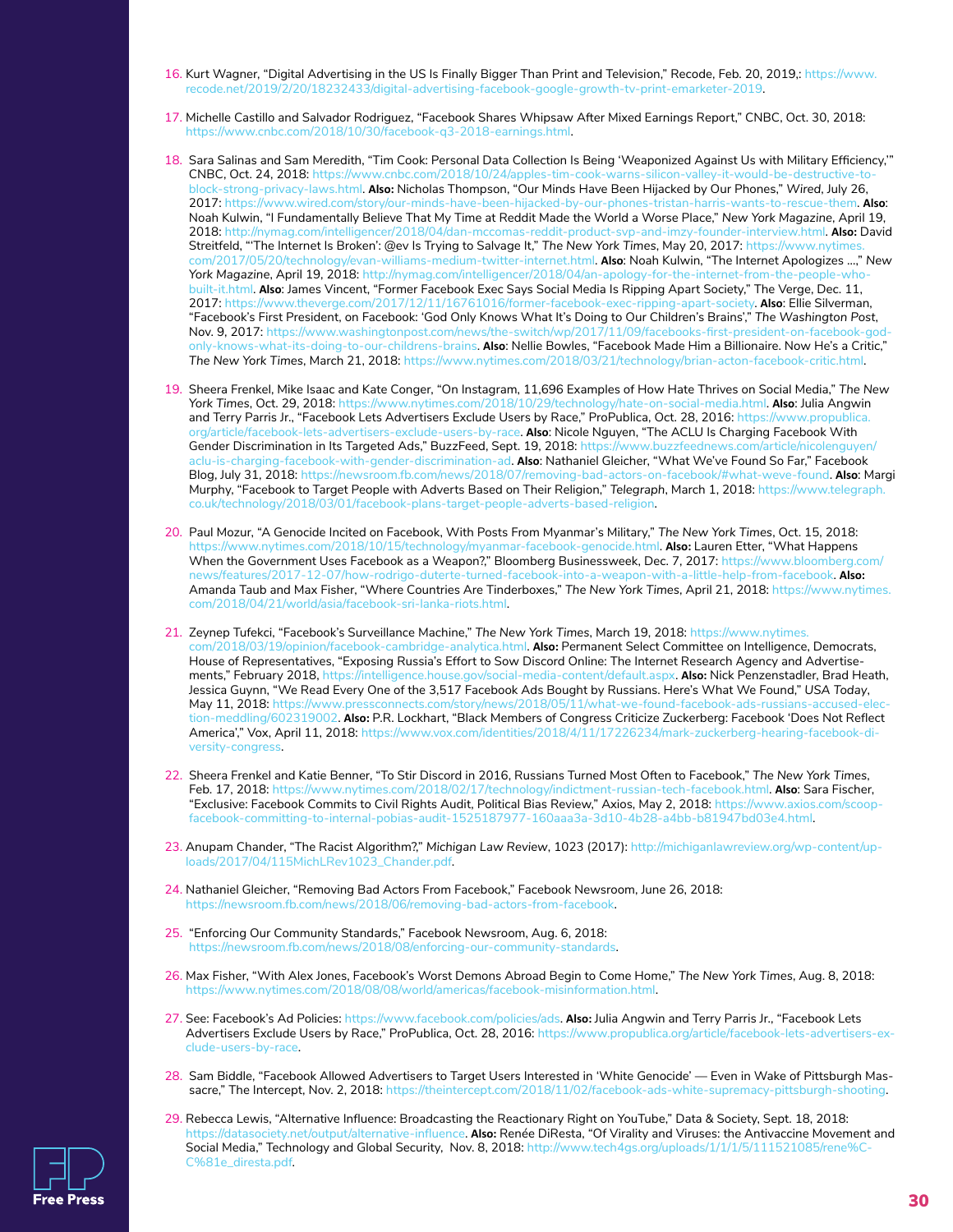- 16. Kurt Wagner, "Digital Advertising in the US Is Finally Bigger Than Print and Television," Recode, Feb. 20, 2019,: https://www. recode.net/2019/2/20/18232433/digital-advertising-facebook-google-growth-tv-print-emarketer-2019.
- 17. Michelle Castillo and Salvador Rodriguez, "Facebook Shares Whipsaw After Mixed Earnings Report," CNBC, Oct. 30, 2018: [https://www.cnbc.com/2018/10/30/facebook-q3-2018-earnings.html.](https://www.cnbc.com/2018/10/30/facebook-q3-2018-earnings.html)
- 18. Sara Salinas and Sam Meredith, "Tim Cook: Personal Data Collection Is Being 'Weaponized Against Us with Military Efficiency,'" CNBC, Oct. 24, 2018: [https://www.cnbc.com/2018/10/24/apples-tim-cook-warns-silicon-valley-it-would-be-destructive-to](https://www.cnbc.com/2018/10/24/apples-tim-cook-warns-silicon-valley-it-would-be-destructive-to-block-strong-privacy-laws.html)[block-strong-privacy-laws.html.](https://www.cnbc.com/2018/10/24/apples-tim-cook-warns-silicon-valley-it-would-be-destructive-to-block-strong-privacy-laws.html) **Also:** Nicholas Thompson, "Our Minds Have Been Hijacked by Our Phones," *Wired*, July 26, 2017: [https://www.wired.com/story/our-minds-have-been-hijacked-by-our-phones-tristan-harris-wants-to-rescue-them.](https://www.wired.com/story/our-minds-have-been-hijacked-by-our-phones-tristan-harris-wants-to-rescue-them) **Also**: Noah Kulwin, "I Fundamentally Believe That My Time at Reddit Made the World a Worse Place," *New York Magazine*, April 19, 2018: [http://nymag.com/intelligencer/2018/04/dan-mccomas-reddit-product-svp-and-imzy-founder-interview.html.](http://nymag.com/intelligencer/2018/04/dan-mccomas-reddit-product-svp-and-imzy-founder-interview.html) **Also:** David Streitfeld, "'The Internet Is Broken': @ev Is Trying to Salvage It," *The New York Times*, May 20, 2017: [https://www.nytimes.](https://www.nytimes.com/2017/05/20/technology/evan-williams-medium-twitter-internet.html) [com/2017/05/20/technology/evan-williams-medium-twitter-internet.html](https://www.nytimes.com/2017/05/20/technology/evan-williams-medium-twitter-internet.html). **Also**: Noah Kulwin, "The Internet Apologizes …," *New York Magazine*, April 19, 2018: [http://nymag.com/intelligencer/2018/04/an-apology-for-the-internet-from-the-people-who](http://nymag.com/intelligencer/2018/04/an-apology-for-the-internet-from-the-people-who-built-it.html)[built-it.html.](http://nymag.com/intelligencer/2018/04/an-apology-for-the-internet-from-the-people-who-built-it.html) **Also**: James Vincent, "Former Facebook Exec Says Social Media Is Ripping Apart Society," The Verge, Dec. 11, 2017: [https://www.theverge.com/2017/12/11/16761016/former-facebook-exec-ripping-apart-society.](https://www.theverge.com/2017/12/11/16761016/former-facebook-exec-ripping-apart-society) **Also**: Ellie Silverman, "Facebook's First President, on Facebook: 'God Only Knows What It's Doing to Our Children's Brains'," *The Washington Post*, Nov. 9, 2017: [https://www.washingtonpost.com/news/the-switch/wp/2017/11/09/facebooks-first-president-on-facebook-god](https://www.washingtonpost.com/news/the-switch/wp/2017/11/09/facebooks-first-president-on-facebook-god-only-knows-what-its-doing-to-our-childrens-brains)[only-knows-what-its-doing-to-our-childrens-brains.](https://www.washingtonpost.com/news/the-switch/wp/2017/11/09/facebooks-first-president-on-facebook-god-only-knows-what-its-doing-to-our-childrens-brains) **Also**: Nellie Bowles, "Facebook Made Him a Billionaire. Now He's a Critic," *The New York Times*, March 21, 2018: <https://www.nytimes.com/2018/03/21/technology/brian-acton-facebook-critic.html>.
- 19. Sheera Frenkel, Mike Isaac and Kate Conger, "On Instagram, 11,696 Examples of How Hate Thrives on Social Media," *The New York Times*, Oct. 29, 2018: [https://www.nytimes.com/2018/10/29/technology/hate-on-social-media.html.](https://www.nytimes.com/2018/10/29/technology/hate-on-social-media.html) **Also**: Julia Angwin and Terry Parris Jr., "Facebook Lets Advertisers Exclude Users by Race," ProPublica, Oct. 28, 2016: [https://www.propublica.](https://www.propublica.org/article/facebook-lets-advertisers-exclude-users-by-race) [org/article/facebook-lets-advertisers-exclude-users-by-race](https://www.propublica.org/article/facebook-lets-advertisers-exclude-users-by-race). **Also**: Nicole Nguyen, "The ACLU Is Charging Facebook With Gender Discrimination in Its Targeted Ads," BuzzFeed, Sept. 19, 2018: [https://www.buzzfeednews.com/article/nicolenguyen/](https://www.buzzfeednews.com/article/nicolenguyen/aclu-is-charging-facebook-with-gender-discrimination-ad) [aclu-is-charging-facebook-with-gender-discrimination-ad.](https://www.buzzfeednews.com/article/nicolenguyen/aclu-is-charging-facebook-with-gender-discrimination-ad) **Also**: Nathaniel Gleicher, "What We've Found So Far," Facebook Blog, July 31, 2018:<https://newsroom.fb.com/news/2018/07/removing-bad-actors-on-facebook/#what-weve-found>. **Also**: Margi Murphy, "Facebook to Target People with Adverts Based on Their Religion," *Telegraph*, March 1, 2018: [https://www.telegraph.](https://www.telegraph.co.uk/technology/2018/03/01/facebook-plans-target-people-adverts-based-religion) [co.uk/technology/2018/03/01/facebook-plans-target-people-adverts-based-religion.](https://www.telegraph.co.uk/technology/2018/03/01/facebook-plans-target-people-adverts-based-religion)
- 20. Paul Mozur, "A Genocide Incited on Facebook, With Posts From Myanmar's Military," *The New York Times*, Oct. 15, 2018: [https://www.nytimes.com/2018/10/15/technology/myanmar-facebook-genocide.html.](https://www.nytimes.com/2018/10/15/technology/myanmar-facebook-genocide.html) **Also:** Lauren Etter, "What Happens When the Government Uses Facebook as a Weapon?," Bloomberg Businessweek, Dec. 7, 2017: [https://www.bloomberg.com/](https://www.bloomberg.com/news/features/2017-12-07/how-rodrigo-duterte-turned-facebook-into-a-weapon-with-a-little-help-from-facebook) [news/features/2017-12-07/how-rodrigo-duterte-turned-facebook-into-a-weapon-with-a-little-help-from-facebook.](https://www.bloomberg.com/news/features/2017-12-07/how-rodrigo-duterte-turned-facebook-into-a-weapon-with-a-little-help-from-facebook) **Also:**  Amanda Taub and Max Fisher, "Where Countries Are Tinderboxes," *The New York Times*, April 21, 2018: [https://www.nytimes.](https://www.nytimes.com/2018/04/21/world/asia/facebook-sri-lanka-riots.html) [com/2018/04/21/world/asia/facebook-sri-lanka-riots.html.](https://www.nytimes.com/2018/04/21/world/asia/facebook-sri-lanka-riots.html)
- 21. Zeynep Tufekci, "Facebook's Surveillance Machine," *The New York Times*, March 19, 2018: [https://www.nytimes.](https://www.nytimes.com/2018/03/19/opinion/facebook-cambridge-analytica.html) [com/2018/03/19/opinion/facebook-cambridge-analytica.html.](https://www.nytimes.com/2018/03/19/opinion/facebook-cambridge-analytica.html) **Also:** Permanent Select Committee on Intelligence, Democrats, House of Representatives, "Exposing Russia's Effort to Sow Discord Online: The Internet Research Agency and Advertisements," February 2018,<https://intelligence.house.gov/social-media-content/default.aspx>. **Also:** Nick Penzenstadler, Brad Heath, Jessica Guynn, "We Read Every One of the 3,517 Facebook Ads Bought by Russians. Here's What We Found," *USA Today*, May 11, 2018: https://www.pressconnects.com/story/news/2018/05/11/what-we-found-facebook-ads-russians-accused-ele [tion-meddling/602319002](https://www.pressconnects.com/story/news/2018/05/11/what-we-found-facebook-ads-russians-accused-election-meddling/602319002). **Also:** P.R. Lockhart, "Black Members of Congress Criticize Zuckerberg: Facebook 'Does Not Reflect America'," Vox, April 11, 2018: [https://www.vox.com/identities/2018/4/11/17226234/mark-zuckerberg-hearing-facebook-di](https://www.vox.com/identities/2018/4/11/17226234/mark-zuckerberg-hearing-facebook-diversity-congress)[versity-congress.](https://www.vox.com/identities/2018/4/11/17226234/mark-zuckerberg-hearing-facebook-diversity-congress)
- 22. Sheera Frenkel and Katie Benner, "To Stir Discord in 2016, Russians Turned Most Often to Facebook," *The New York Times*, Feb. 17, 2018:<https://www.nytimes.com/2018/02/17/technology/indictment-russian-tech-facebook.html>. **Also**: Sara Fischer, "Exclusive: Facebook Commits to Civil Rights Audit, Political Bias Review," Axios, May 2, 2018: [https://www.axios.com/scoop](https://www.axios.com/scoop-facebook-committing-to-internal-pobias-audit-1525187977-160aaa3a-3d10-4b28-a4bb-b81947bd03e4.html)[facebook-committing-to-internal-pobias-audit-1525187977-160aaa3a-3d10-4b28-a4bb-b81947bd03e4.html](https://www.axios.com/scoop-facebook-committing-to-internal-pobias-audit-1525187977-160aaa3a-3d10-4b28-a4bb-b81947bd03e4.html).
- 23. Anupam Chander, "The Racist Algorithm?," *Michigan Law Review*, 1023 (2017): [http://michiganlawreview.org/wp-content/up](http://michiganlawreview.org/wp-content/uploads/2017/04/115MichLRev1023_Chander.pdf)[loads/2017/04/115MichLRev1023\\_Chander.pdf](http://michiganlawreview.org/wp-content/uploads/2017/04/115MichLRev1023_Chander.pdf).
- 24. Nathaniel Gleicher, "Removing Bad Actors From Facebook," Facebook Newsroom, June 26, 2018: [https://newsroom.fb.com/news/2018/06/removing-bad-actors-from-facebook.](https://newsroom.fb.com/news/2018/06/removing-bad-actors-from-facebook)
- 25. "Enforcing Our Community Standards," Facebook Newsroom, Aug. 6, 2018: [https://newsroom.fb.com/news/2018/08/enforcing-our-community-standards.](https://newsroom.fb.com/news/2018/08/enforcing-our-community-standards)
- 26. Max Fisher, "With Alex Jones, Facebook's Worst Demons Abroad Begin to Come Home," *The New York Times*, Aug. 8, 2018: <https://www.nytimes.com/2018/08/08/world/americas/facebook-misinformation.html>.
- 27. See: Facebook's Ad Policies: <https://www.facebook.com/policies/ads>. **Also:** Julia Angwin and Terry Parris Jr., "Facebook Lets Advertisers Exclude Users by Race," ProPublica, Oct. 28, 2016: [https://www.propublica.org/article/facebook-lets-advertisers-ex](https://www.propublica.org/article/facebook-lets-advertisers-exclude-users-by-race)[clude-users-by-race.](https://www.propublica.org/article/facebook-lets-advertisers-exclude-users-by-race)
- 28. Sam Biddle, "Facebook Allowed Advertisers to Target Users Interested in 'White Genocide' Even in Wake of Pittsburgh Massacre," The Intercept, Nov. 2, 2018:<https://theintercept.com/2018/11/02/facebook-ads-white-supremacy-pittsburgh-shooting>.
- 29. Rebecca Lewis, "Alternative Influence: Broadcasting the Reactionary Right on YouTube," Data & Society, Sept. 18, 2018: <https://datasociety.net/output/alternative-influence>. **Also:** Renée DiResta, "Of Virality and Viruses: the Antivaccine Movement and Social Media," Technology and Global Security, Nov. 8, 2018: [http://www.tech4gs.org/uploads/1/1/1/5/111521085/rene%C](http://www.tech4gs.org/uploads/1/1/1/5/111521085/rene%CC%81e_diresta.pdf)-[C%81e\\_diresta.pdf](http://www.tech4gs.org/uploads/1/1/1/5/111521085/rene%CC%81e_diresta.pdf).

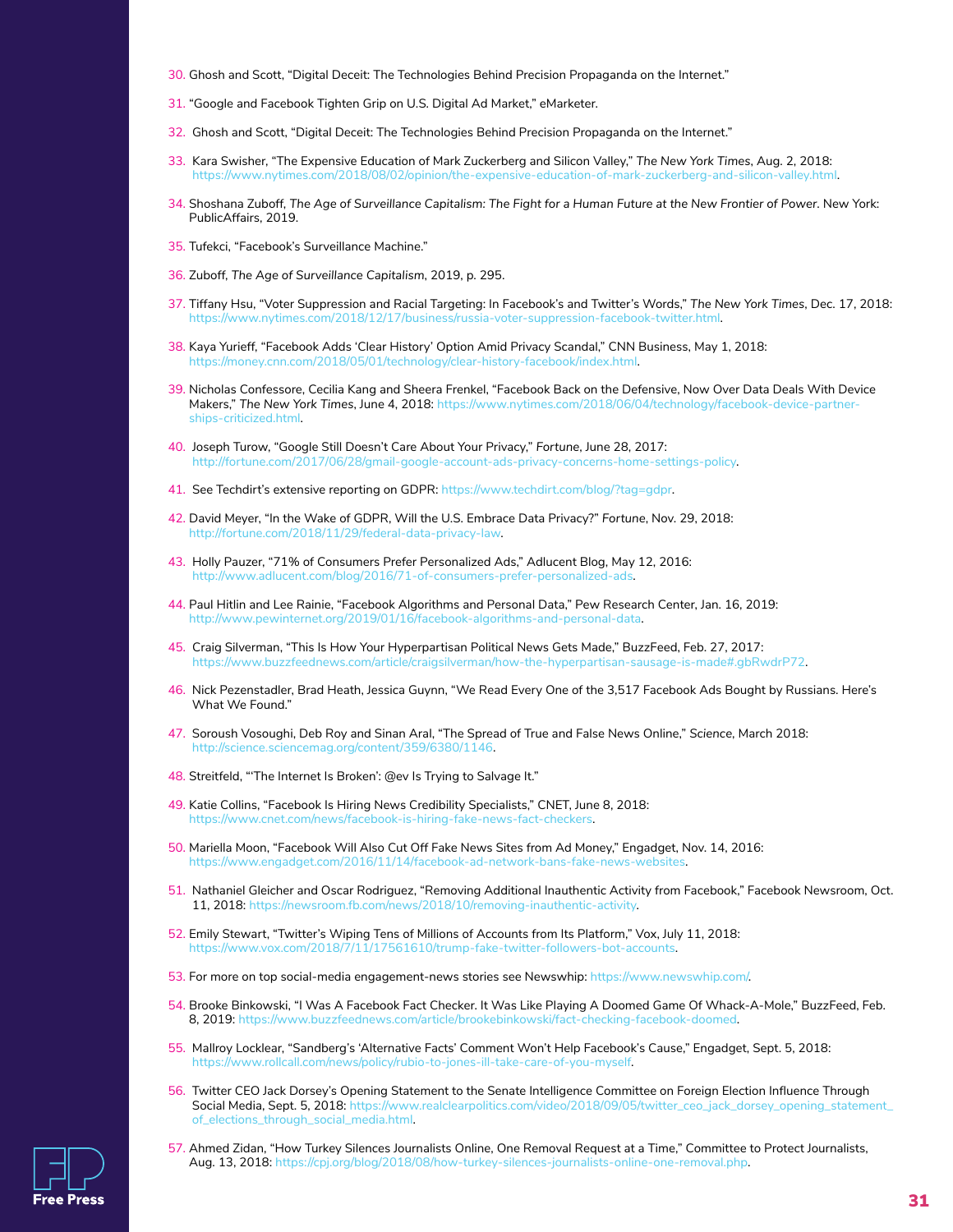- 30. Ghosh and Scott, "Digital Deceit: The Technologies Behind Precision Propaganda on the Internet."
- 31. "Google and Facebook Tighten Grip on U.S. Digital Ad Market," eMarketer.
- 32. Ghosh and Scott, "Digital Deceit: The Technologies Behind Precision Propaganda on the Internet."
- 33. Kara Swisher, "The Expensive Education of Mark Zuckerberg and Silicon Valley," *The New York Times*, Aug. 2, 2018: [https://www.nytimes.com/2018/08/02/opinion/the-expensive-education-of-mark-zuckerberg-and-silicon-valley.html.](https://www.nytimes.com/2018/08/02/opinion/the-expensive-education-of-mark-zuckerberg-and-silicon-valley.html)
- 34. Shoshana Zuboff, *The Age of Surveillance Capitalism: The Fight for a Human Future at the New Frontier of Power*. New York: PublicAffairs, 2019.
- 35. Tufekci, "Facebook's Surveillance Machine."
- 36. Zuboff, *The Age of Surveillance Capitalism*, 2019, p. 295.
- 37. Tiffany Hsu, "Voter Suppression and Racial Targeting: In Facebook's and Twitter's Words," *The New York Times*, Dec. 17, 2018: [https://www.nytimes.com/2018/12/17/business/russia-voter-suppression-facebook-twitter.html.](https://www.nytimes.com/2018/12/17/business/russia-voter-suppression-facebook-twitter.html)
- 38. Kaya Yurieff, "Facebook Adds 'Clear History' Option Amid Privacy Scandal," CNN Business, May 1, 2018: [https://money.cnn.com/2018/05/01/technology/clear-history-facebook/index.html.](https://money.cnn.com/2018/05/01/technology/clear-history-facebook/index.html)
- 39. Nicholas Confessore, Cecilia Kang and Sheera Frenkel, "Facebook Back on the Defensive, Now Over Data Deals With Device Makers," *The New York Times*, June 4, 2018: [https://www.nytimes.com/2018/06/04/technology/facebook-device-partner](https://www.nytimes.com/2018/06/04/technology/facebook-device-partnerships-criticized.html)[ships-criticized.html](https://www.nytimes.com/2018/06/04/technology/facebook-device-partnerships-criticized.html).
- 40. Joseph Turow, "Google Still Doesn't Care About Your Privacy," *Fortune*, June 28, 2017: <http://fortune.com/2017/06/28/gmail-google-account-ads-privacy-concerns-home-settings-policy>.
- 41. See Techdirt's extensive reporting on GDPR: [https://www.techdirt.com/blog/?tag=gdpr.](https://www.techdirt.com/blog/?tag=gdpr)
- 42. David Meyer, "In the Wake of GDPR, Will the U.S. Embrace Data Privacy?" *Fortune*, Nov. 29, 2018: [http://fortune.com/2018/11/29/federal-data-privacy-law.](http://fortune.com/2018/11/29/federal-data-privacy-law)
- 43. Holly Pauzer, "71% of Consumers Prefer Personalized Ads," Adlucent Blog, May 12, 2016: [http://www.adlucent.com/blog/2016/71-of-consumers-prefer-personalized-ads.](http://www.adlucent.com/blog/2016/71-of-consumers-prefer-personalized-ads)
- 44. Paul Hitlin and Lee Rainie, "Facebook Algorithms and Personal Data," Pew Research Center, Jan. 16, 2019: <http://www.pewinternet.org/2019/01/16/facebook-algorithms-and-personal-data>.
- 45. Craig Silverman, "This Is How Your Hyperpartisan Political News Gets Made," BuzzFeed, Feb. 27, 2017: <https://www.buzzfeednews.com/article/craigsilverman/how-the-hyperpartisan-sausage-is-made#.gbRwdrP72>.
- 46. Nick Pezenstadler, Brad Heath, Jessica Guynn, "We Read Every One of the 3,517 Facebook Ads Bought by Russians. Here's What We Found."
- 47. Soroush Vosoughi, Deb Roy and Sinan Aral, "The Spread of True and False News Online," *Science*, March 2018: [http://science.sciencemag.org/content/359/6380/1146.](http://science.sciencemag.org/content/359/6380/1146)
- 48. Streitfeld, "'The Internet Is Broken': @ev Is Trying to Salvage It."
- 49. Katie Collins, "Facebook Is Hiring News Credibility Specialists," CNET, June 8, 2018: [https://www.cnet.com/news/facebook-is-hiring-fake-news-fact-checkers.](https://www.cnet.com/news/facebook-is-hiring-fake-news-fact-checkers)
- 50. Mariella Moon, "Facebook Will Also Cut Off Fake News Sites from Ad Money," Engadget, Nov. 14, 2016: <https://www.engadget.com/2016/11/14/facebook-ad-network-bans-fake-news-websites>.
- 51. Nathaniel Gleicher and Oscar Rodriguez, "Removing Additional Inauthentic Activity from Facebook," Facebook Newsroom, Oct. 11, 2018: [https://newsroom.fb.com/news/2018/10/removing-inauthentic-activity.](https://newsroom.fb.com/news/2018/10/removing-inauthentic-activity)
- 52. Emily Stewart, "Twitter's Wiping Tens of Millions of Accounts from Its Platform," Vox, July 11, 2018: [https://www.vox.com/2018/7/11/17561610/trump-fake-twitter-followers-bot-accounts.](https://www.vox.com/2018/7/11/17561610/trump-fake-twitter-followers-bot-accounts)
- 53. For more on top social-media engagement-news stories see Newswhip: [https://www.newswhip.com/.](https://www.newswhip.com/)
- 54. Brooke Binkowski, "I Was A Facebook Fact Checker. It Was Like Playing A Doomed Game Of Whack-A-Mole," BuzzFeed, Feb. 8, 2019: [https://www.buzzfeednews.com/article/brookebinkowski/fact-checking-facebook-doomed.](https://www.buzzfeednews.com/article/brookebinkowski/fact-checking-facebook-doomed)
- 55. Mallroy Locklear, "Sandberg's 'Alternative Facts' Comment Won't Help Facebook's Cause," Engadget, Sept. 5, 2018: [https://www.rollcall.com/news/policy/rubio-to-jones-ill-take-care-of-you-myself.](https://www.rollcall.com/news/policy/rubio-to-jones-ill-take-care-of-you-myself)
- 56. Twitter CEO Jack Dorsey's Opening Statement to the Senate Intelligence Committee on Foreign Election Influence Through Social Media, Sept. 5, 2018: [https://www.realclearpolitics.com/video/2018/09/05/twitter\\_ceo\\_jack\\_dorsey\\_opening\\_statement\\_](https://www.realclearpolitics.com/video/2018/09/05/twitter_ceo_jack_dorsey_opening_statement_of_elections_through_social_media.html) [of\\_elections\\_through\\_social\\_media.html](https://www.realclearpolitics.com/video/2018/09/05/twitter_ceo_jack_dorsey_opening_statement_of_elections_through_social_media.html).
- 57. Ahmed Zidan, "How Turkey Silences Journalists Online, One Removal Request at a Time," Committee to Protect Journalists, Aug. 13, 2018: [https://cpj.org/blog/2018/08/how-turkey-silences-journalists-online-one-removal.php.](https://cpj.org/blog/2018/08/how-turkey-silences-journalists-online-one-removal.php)